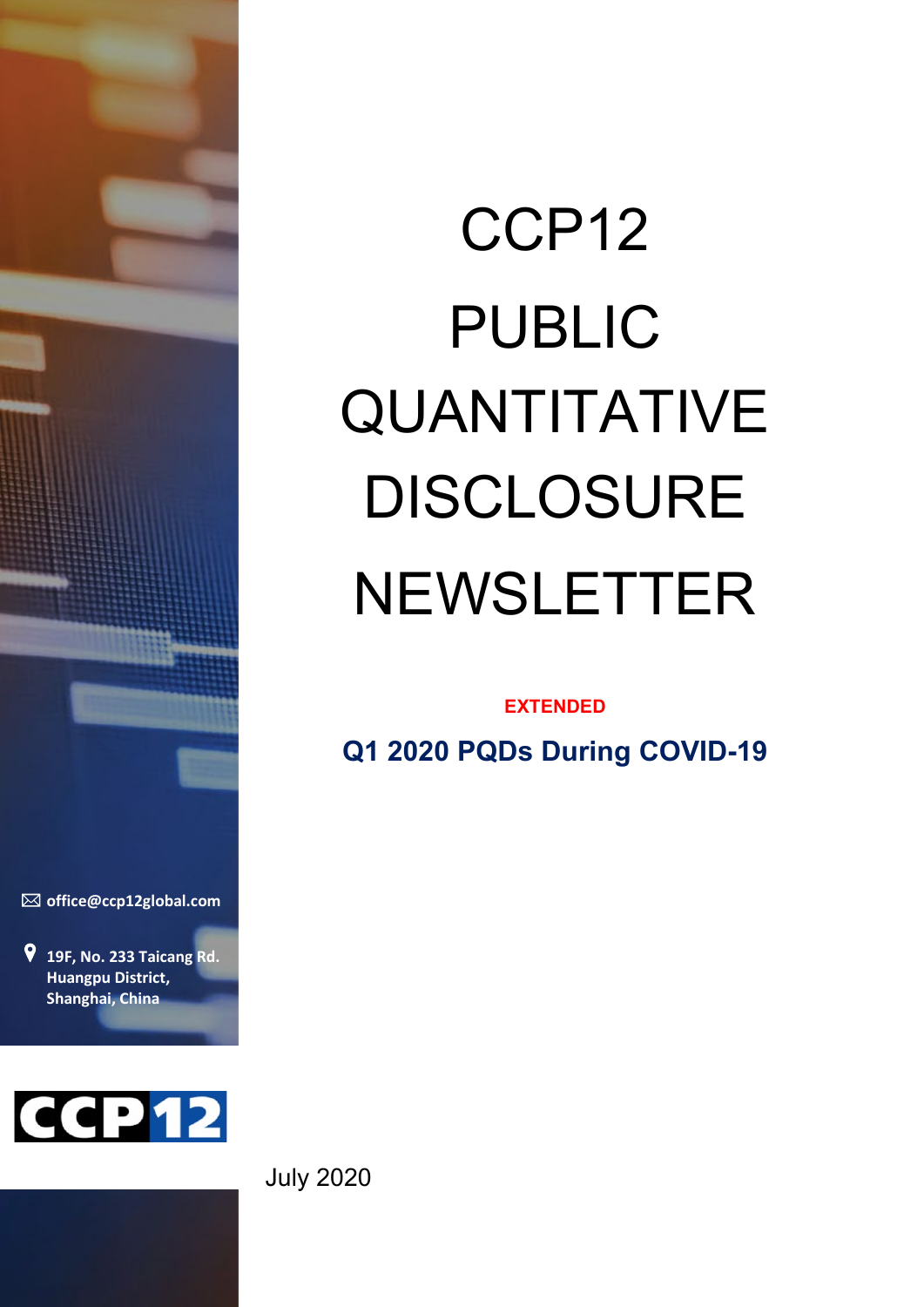

**[office@ccp12global.com](mailto:office@ccp12global.com?subject=Response%20to%20CCP12%20Report)**

**19F, No. 233 Taicang Rd. Huangpu District, Shanghai, China**



# CCP12 PUBLIC QUANTITATIVE DISCLOSURE NEWSLETTER

#### **EXTENDED**

**Q1 2020 PQDs During COVID-19**

July 2020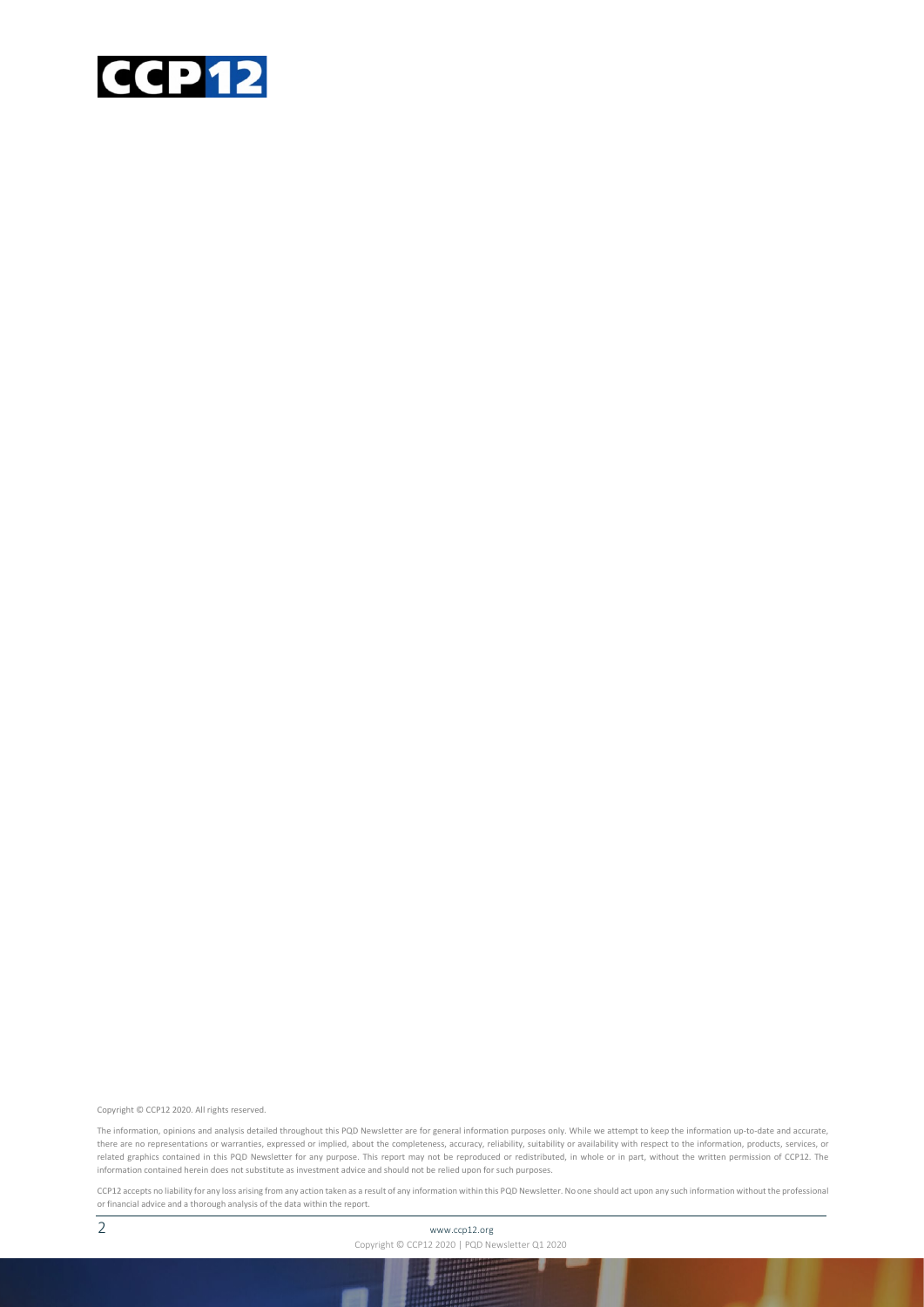

Copyright © CCP12 2020. All rights reserved.

The information, opinions and analysis detailed throughout this PQD Newsletter are for general information purposes only. While we attempt to keep the information up-to-date and accurate, there are no representations or warranties, expressed or implied, about the completeness, accuracy, reliability, suitability or availability with respect to the information, products, services, or related graphics contained in this PQD Newsletter for any purpose. This report may not be reproduced or redistributed, in whole or in part, without the written permission of CCP12. The information contained herein does not substitute as investment advice and should not be relied upon for such purposes.

CCP12 accepts no liability for any loss arising from any action taken as a result of any information within this PQD Newsletter. No one should act upon any such information without the professional or financial advice and a thorough analysis of the data within the report.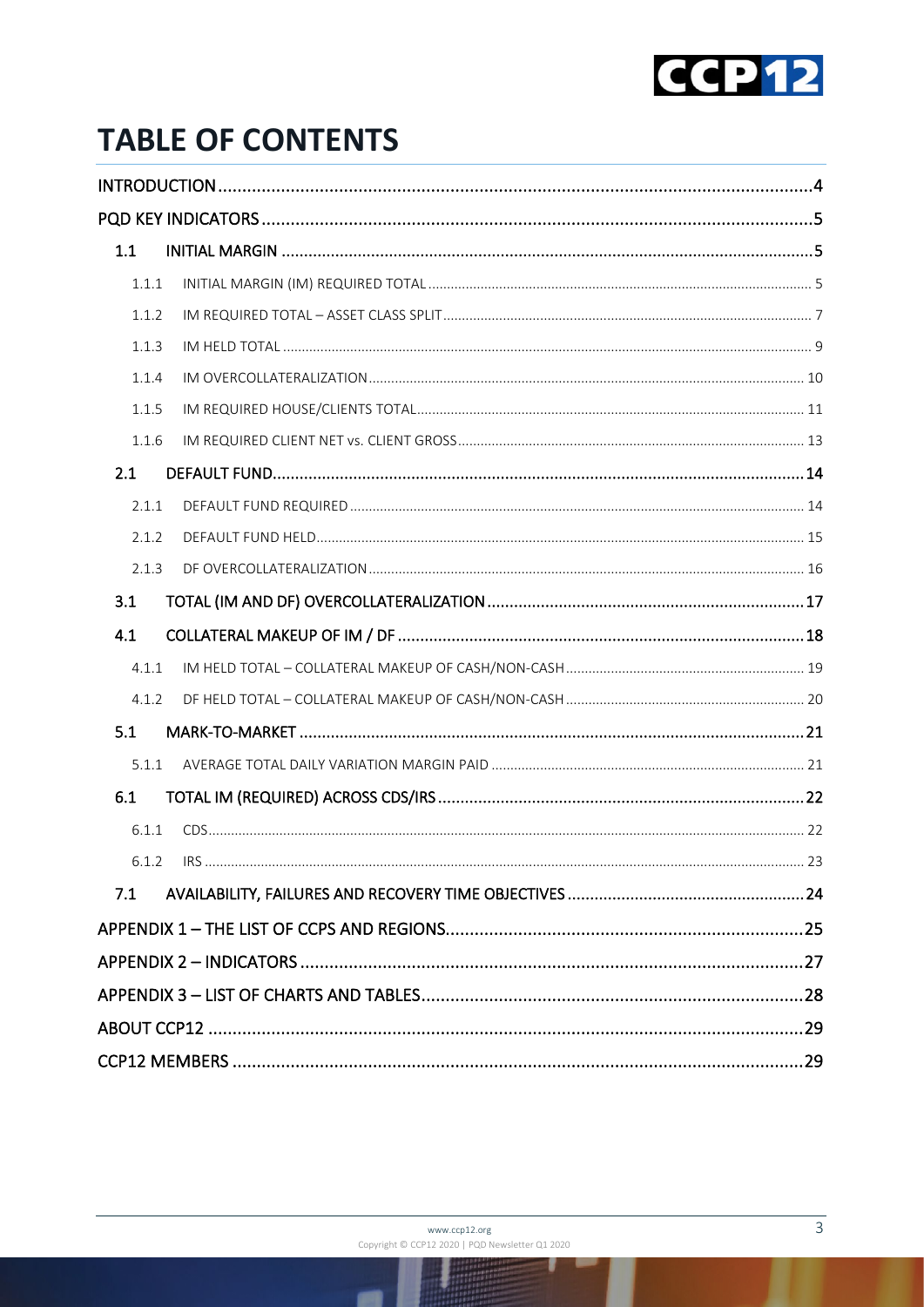

## **TABLE OF CONTENTS**

| 1.1   |  |
|-------|--|
| 1.1.1 |  |
| 1.1.2 |  |
| 1.1.3 |  |
| 1.1.4 |  |
| 1.1.5 |  |
| 1.1.6 |  |
| 2.1   |  |
| 2.1.1 |  |
| 2.1.2 |  |
| 2.1.3 |  |
| 3.1   |  |
| 4.1   |  |
| 4.1.1 |  |
| 4.1.2 |  |
| 5.1   |  |
| 5.1.1 |  |
| 6.1   |  |
| 6.1.1 |  |
|       |  |
| 7.1   |  |
|       |  |
|       |  |
|       |  |
|       |  |
|       |  |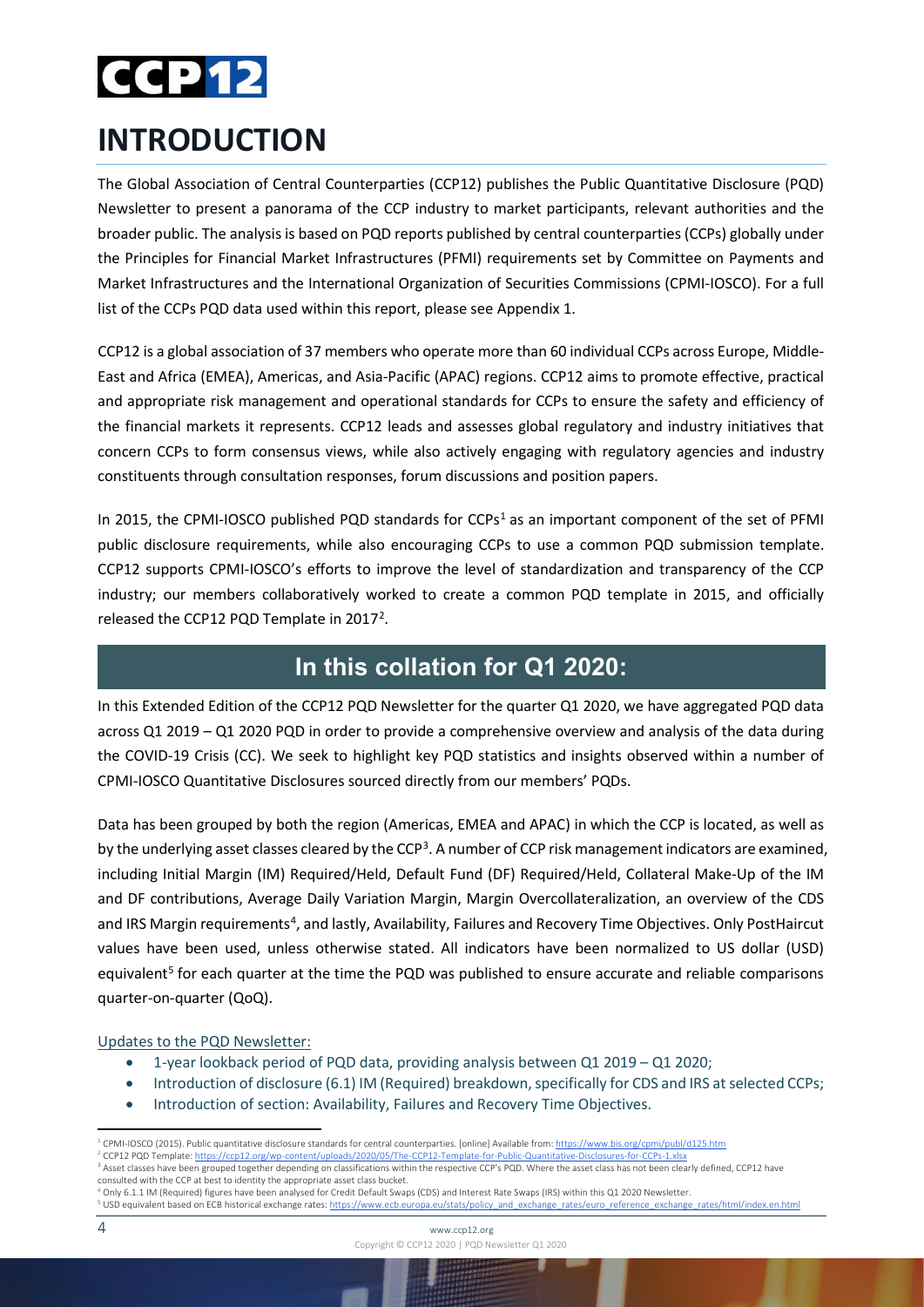## **CCP12**

## <span id="page-3-0"></span>**INTRODUCTION**

The Global Association of Central Counterparties (CCP12) publishes the Public Quantitative Disclosure (PQD) Newsletter to present a panorama of the CCP industry to market participants, relevant authorities and the broader public. The analysis is based on PQD reports published by central counterparties (CCPs) globally under the Principles for Financial Market Infrastructures (PFMI) requirements set by Committee on Payments and Market Infrastructures and the International Organization of Securities Commissions (CPMI-IOSCO). For a full list of the CCPs PQD data used within this report, please see Appendix 1.

CCP12 is a global association of 37 members who operate more than 60 individual CCPs across Europe, Middle-East and Africa (EMEA), Americas, and Asia-Pacific (APAC) regions. CCP12 aims to promote effective, practical and appropriate risk management and operational standards for CCPs to ensure the safety and efficiency of the financial markets it represents. CCP12 leads and assesses global regulatory and industry initiatives that concern CCPs to form consensus views, while also actively engaging with regulatory agencies and industry constituents through consultation responses, forum discussions and position papers.

In 20[1](#page-3-1)5, the CPMI-IOSCO published PQD standards for  $CCPs<sup>1</sup>$  as an important component of the set of PFMI public disclosure requirements, while also encouraging CCPs to use a common PQD submission template. CCP12 supports CPMI-IOSCO's efforts to improve the level of standardization and transparency of the CCP industry; our members collaboratively worked to create a common PQD template in 2015, and officially released the CCP1[2](#page-3-2) PQD Template in 2017<sup>2</sup>.

### **In this collation for Q1 2020:**

In this Extended Edition of the CCP12 PQD Newsletter for the quarter Q1 2020, we have aggregated PQD data across Q1 2019 – Q1 2020 PQD in order to provide a comprehensive overview and analysis of the data during the COVID-19 Crisis (CC). We seek to highlight key PQD statistics and insights observed within a number of CPMI-IOSCO Quantitative Disclosures sourced directly from our members' PQDs.

Data has been grouped by both the region (Americas, EMEA and APAC) in which the CCP is located, as well as by the underlying asset classes cleared by the CCP<sup>[3](#page-3-3)</sup>. A number of CCP risk management indicators are examined, including Initial Margin (IM) Required/Held, Default Fund (DF) Required/Held, Collateral Make-Up of the IM and DF contributions, Average Daily Variation Margin, Margin Overcollateralization, an overview of the CDS and IRS Margin requirements<sup>4</sup>, and lastly, Availability, Failures and Recovery Time Objectives. Only PostHaircut values have been used, unless otherwise stated. All indicators have been normalized to US dollar (USD) equivalent<sup>[5](#page-3-5)</sup> for each quarter at the time the PQD was published to ensure accurate and reliable comparisons quarter-on-quarter (QoQ).

#### Updates to the PQD Newsletter:

- 1-year lookback period of PQD data, providing analysis between Q1 2019 Q1 2020;
- Introduction of disclosure (6.1) IM (Required) breakdown, specifically for CDS and IRS at selected CCPs;
- Introduction of section: Availability, Failures and Recovery Time Objectives.

<span id="page-3-5"></span><span id="page-3-4"></span><sup>4</sup> Only 6.1.1 IM (Required) figures have been analysed for Credit Default Swaps (CDS) and Interest Rate Swaps (IRS) within this Q1 2020 Newsletter. <sup>5</sup> USD equivalent based on ECB historical exchange rates[: https://www.ecb.europa.eu/stats/policy\\_and\\_exchange\\_rates/euro\\_reference\\_exchange\\_rates/html/index.en.html](https://www.ecb.europa.eu/stats/policy_and_exchange_rates/euro_reference_exchange_rates/html/index.en.html)

<sup>&</sup>lt;sup>1</sup> CPMI-IOSCO (2015). Public quantitative disclosure standards for central counterparties. [online] Available from[: https://www.bis.org/cpmi/publ/d125.htm](https://www.bis.org/cpmi/publ/d125.htm)

<span id="page-3-3"></span><span id="page-3-2"></span><span id="page-3-1"></span><sup>2</sup> CCP12 PQD Template[: https://ccp12.org/wp-content/uploads/2020/05/The-CCP12-Template-for-Public-Quantitative-Disclosures-for-CCPs-1.xlsx](https://ccp12.org/wp-content/uploads/2020/05/The-CCP12-Template-for-Public-Quantitative-Disclosures-for-CCPs-1.xlsx)

<sup>&</sup>lt;sup>3</sup> Asset classes have been grouped together depending on classifications within the respective CCP's PQD. Where the asset class has not been clearly defined, CCP12 have consulted with the CCP at best to identity the appropriate asset class bucket.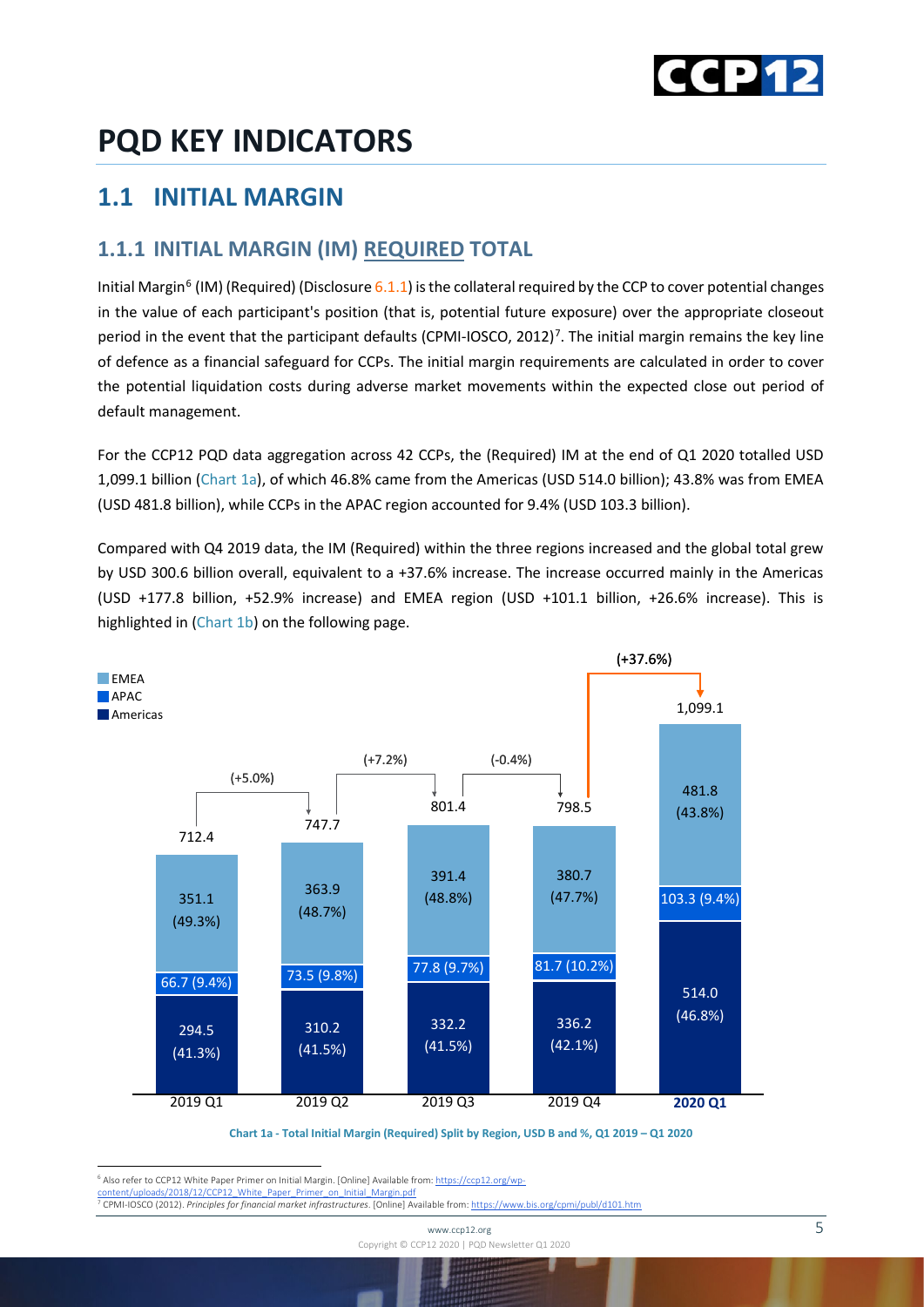

## <span id="page-4-0"></span>**PQD KEY INDICATORS**

### <span id="page-4-1"></span>**1.1 INITIAL MARGIN**

#### <span id="page-4-2"></span>**1.1.1 INITIAL MARGIN (IM) REQUIRED TOTAL**

Initial Margin<sup>[6](#page-4-3)</sup> (IM) (Required) (Disclosure 6.1.1) is the collateral required by the CCP to cover potential changes in the value of each participant's position (that is, potential future exposure) over the appropriate closeout period in the event that the participant defaults (CPMI-IOSCO, 2012)<sup>[7](#page-4-4)</sup>. The initial margin remains the key line of defence as a financial safeguard for CCPs. The initial margin requirements are calculated in order to cover the potential liquidation costs during adverse market movements within the expected close out period of default management.

For the CCP12 PQD data aggregation across 42 CCPs, the (Required) IM at the end of Q1 2020 totalled USD 1,099.1 billion (Chart 1a), of which 46.8% came from the Americas (USD 514.0 billion); 43.8% was from EMEA (USD 481.8 billion), while CCPs in the APAC region accounted for 9.4% (USD 103.3 billion).

Compared with Q4 2019 data, the IM (Required) within the three regions increased and the global total grew by USD 300.6 billion overall, equivalent to a +37.6% increase. The increase occurred mainly in the Americas (USD +177.8 billion, +52.9% increase) and EMEA region (USD +101.1 billion, +26.6% increase). This is highlighted in (Chart 1b) on the following page.



**Chart 1a - Total Initial Margin (Required) Split by Region, USD B and %, Q1 2019 – Q1 2020**

<span id="page-4-3"></span><sup>6</sup> Also refer to CCP12 White Paper Primer on Initial Margin. [Online] Available from[: https://ccp12.org/wp-](https://ccp12.org/wp-content/uploads/2018/12/CCP12_White_Paper_Primer_on_Initial_Margin.pdf)

<span id="page-4-4"></span>[content/uploads/2018/12/CCP12\\_White\\_Paper\\_Primer\\_on\\_Initial\\_Margin.pdf](https://ccp12.org/wp-content/uploads/2018/12/CCP12_White_Paper_Primer_on_Initial_Margin.pdf) <sup>7</sup> CPMI-IOSCO (2012). *Principles for financial market infrastructures*. [Online] Available from[: https://www.bis.org/cpmi/publ/d101.htm](https://www.bis.org/cpmi/publ/d101.htm)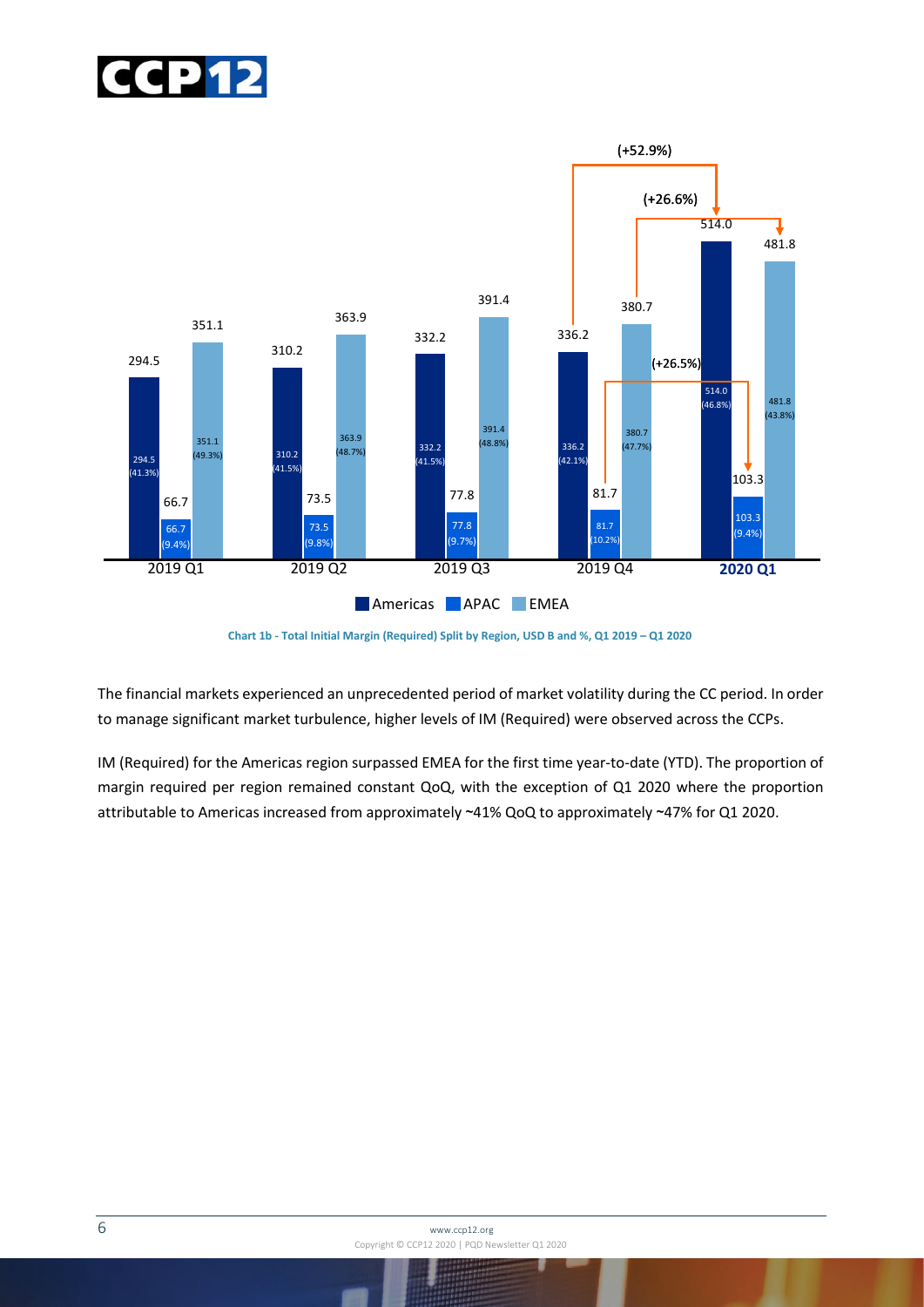



**Chart 1b - Total Initial Margin (Required) Split by Region, USD B and %, Q1 2019 – Q1 2020**

The financial markets experienced an unprecedented period of market volatility during the CC period. In order to manage significant market turbulence, higher levels of IM (Required) were observed across the CCPs.

IM (Required) for the Americas region surpassed EMEA for the first time year-to-date (YTD). The proportion of margin required per region remained constant QoQ, with the exception of Q1 2020 where the proportion attributable to Americas increased from approximately ~41% QoQ to approximately ~47% for Q1 2020.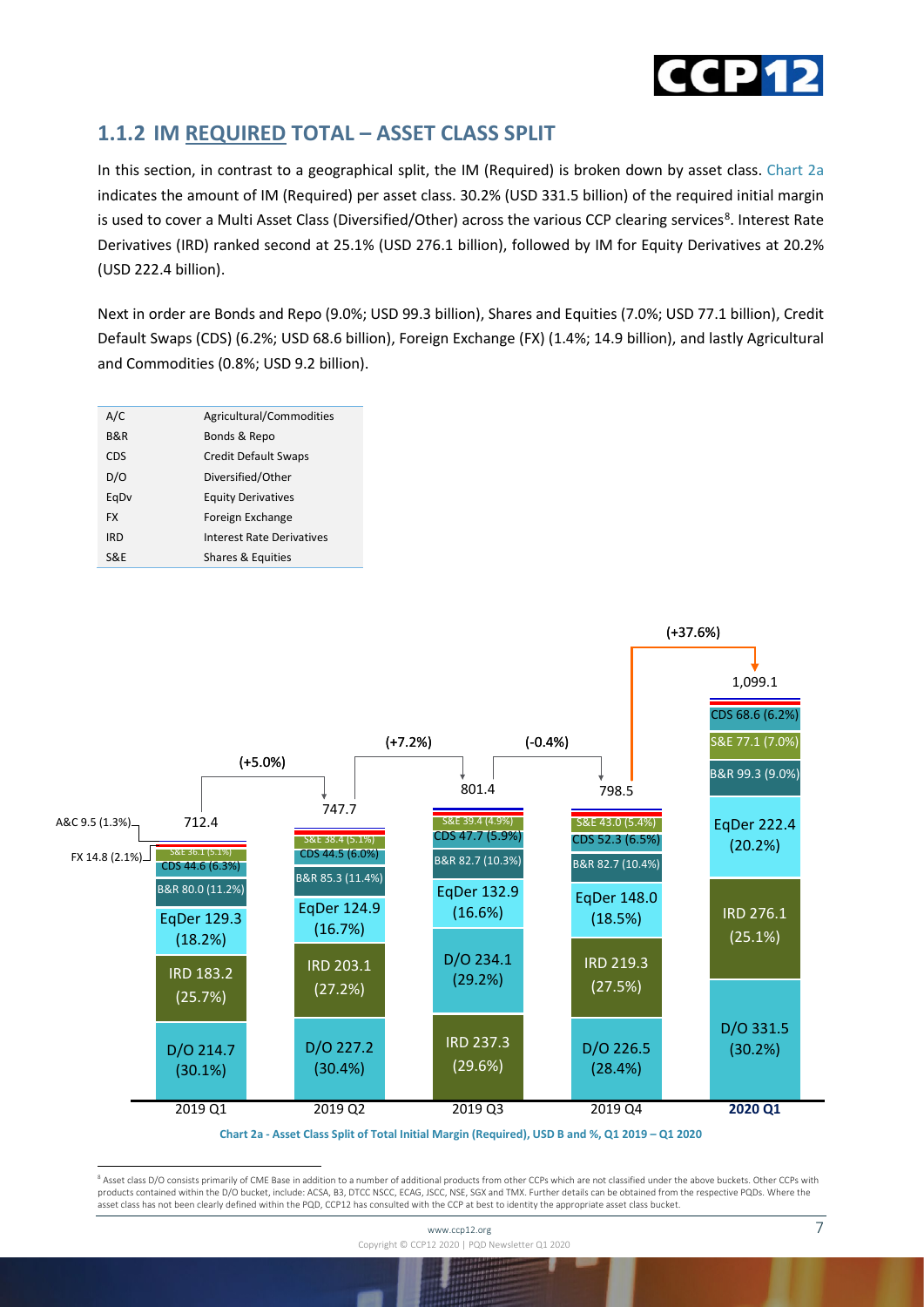

#### <span id="page-6-0"></span>**1.1.2 IM REQUIRED TOTAL – ASSET CLASS SPLIT**

In this section, in contrast to a geographical split, the IM (Required) is broken down by asset class. Chart 2a indicates the amount of IM (Required) per asset class. 30.2% (USD 331.5 billion) of the required initial margin is used to cover a Multi Asset Class (Diversified/Other) across the various CCP clearing services<sup>[8](#page-6-1)</sup>. Interest Rate Derivatives (IRD) ranked second at 25.1% (USD 276.1 billion), followed by IM for Equity Derivatives at 20.2% (USD 222.4 billion).

Next in order are Bonds and Repo (9.0%; USD 99.3 billion), Shares and Equities (7.0%; USD 77.1 billion), Credit Default Swaps (CDS) (6.2%; USD 68.6 billion), Foreign Exchange (FX) (1.4%; 14.9 billion), and lastly Agricultural and Commodities (0.8%; USD 9.2 billion).

| A/C            | Agricultural/Commodities    |
|----------------|-----------------------------|
| <b>B&amp;R</b> | Bonds & Repo                |
| <b>CDS</b>     | <b>Credit Default Swaps</b> |
| D/O            | Diversified/Other           |
| EgDv           | <b>Equity Derivatives</b>   |
| <b>FX</b>      | Foreign Exchange            |
| <b>IRD</b>     | Interest Rate Derivatives   |
| S&F            | Shares & Equities           |
|                |                             |



**Chart 2a - Asset Class Split of Total Initial Margin (Required), USD B and %, Q1 2019 – Q1 2020**

<span id="page-6-1"></span><sup>8</sup> Asset class D/O consists primarily of CME Base in addition to a number of additional products from other CCPs which are not classified under the above buckets. Other CCPs with products contained within the D/O bucket, include: ACSA, B3, DTCC NSCC, ECAG, JSCC, NSE, SGX and TMX. Further details can be obtained from the respective PQDs. Where the asset class has not been clearly defined within the PQD, CCP12 has consulted with the CCP at best to identity the appropriate asset class bucket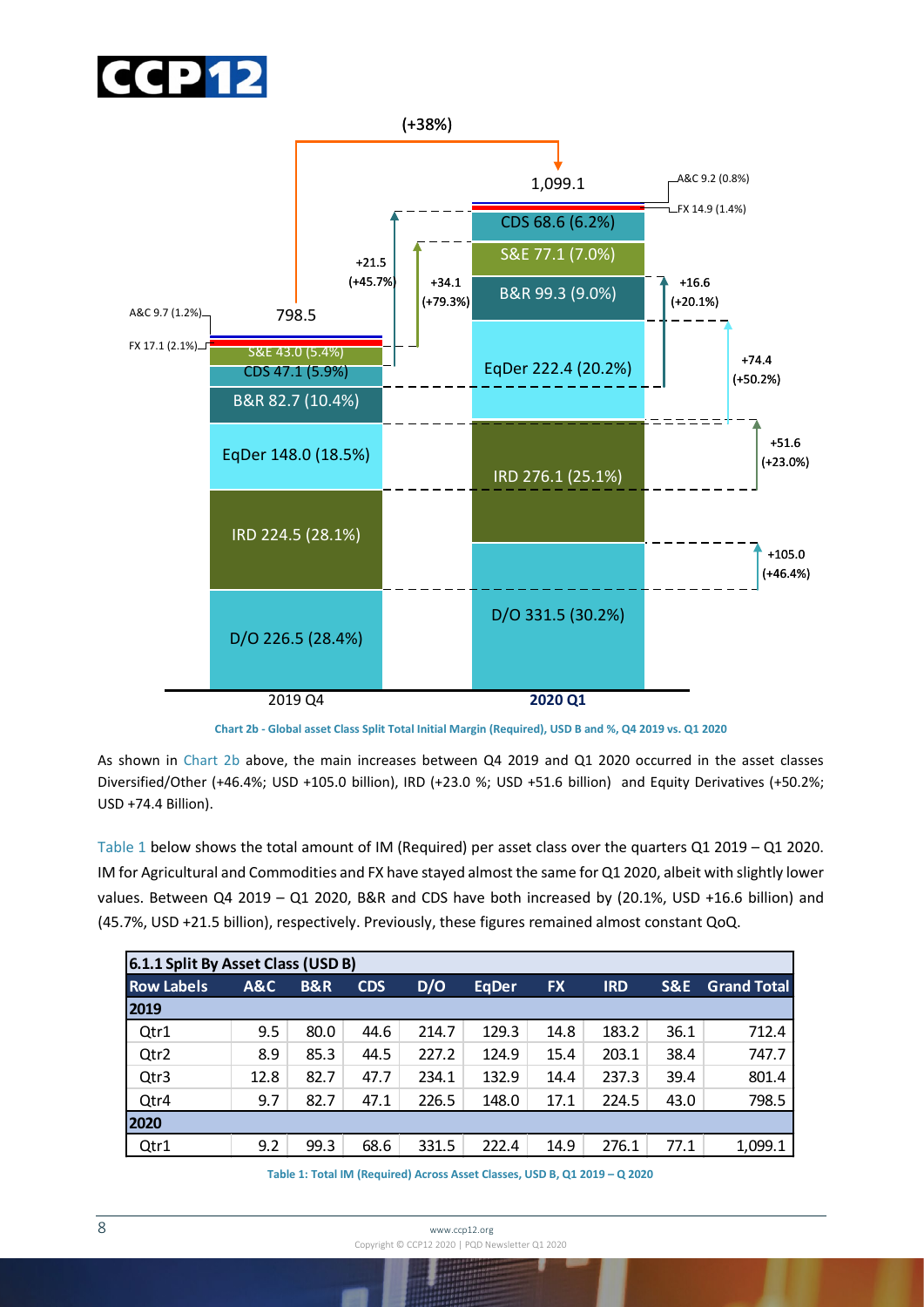



**Chart 2b - Global asset Class Split Total Initial Margin (Required), USD B and %, Q4 2019 vs. Q1 2020**

As shown in Chart 2b above, the main increases between Q4 2019 and Q1 2020 occurred in the asset classes Diversified/Other (+46.4%; USD +105.0 billion), IRD (+23.0 %; USD +51.6 billion) and Equity Derivatives (+50.2%; USD +74.4 Billion).

Table 1 below shows the total amount of IM (Required) per asset class over the quarters Q1 2019 – Q1 2020. IM for Agricultural and Commodities and FX have stayed almost the same for Q1 2020, albeit with slightly lower values. Between Q4 2019 – Q1 2020, B&R and CDS have both increased by (20.1%, USD +16.6 billion) and (45.7%, USD +21.5 billion), respectively. Previously, these figures remained almost constant QoQ.

| 6.1.1 Split By Asset Class (USD B) |      |                |            |       |              |           |            |      |                    |
|------------------------------------|------|----------------|------------|-------|--------------|-----------|------------|------|--------------------|
| <b>Row Labels</b>                  | A&C  | <b>B&amp;R</b> | <b>CDS</b> | D/O   | <b>EqDer</b> | <b>FX</b> | <b>IRD</b> | S&E  | <b>Grand Total</b> |
| 2019                               |      |                |            |       |              |           |            |      |                    |
| Qtr1                               | 9.5  | 80.0           | 44.6       | 214.7 | 129.3        | 14.8      | 183.2      | 36.1 | 712.4              |
| Qtr <sub>2</sub>                   | 8.9  | 85.3           | 44.5       | 227.2 | 124.9        | 15.4      | 203.1      | 38.4 | 747.7              |
| Qtr3                               | 12.8 | 82.7           | 47.7       | 234.1 | 132.9        | 14.4      | 237.3      | 39.4 | 801.4              |
| Qtr4                               | 9.7  | 82.7           | 47.1       | 226.5 | 148.0        | 17.1      | 224.5      | 43.0 | 798.5              |
| 2020                               |      |                |            |       |              |           |            |      |                    |
| Qtr1                               | 9.2  | 99.3           | 68.6       | 331.5 | 222.4        | 14.9      | 276.1      | 77.1 | 1,099.1            |

**Table 1: Total IM (Required) Across Asset Classes, USD B, Q1 2019 – Q 2020**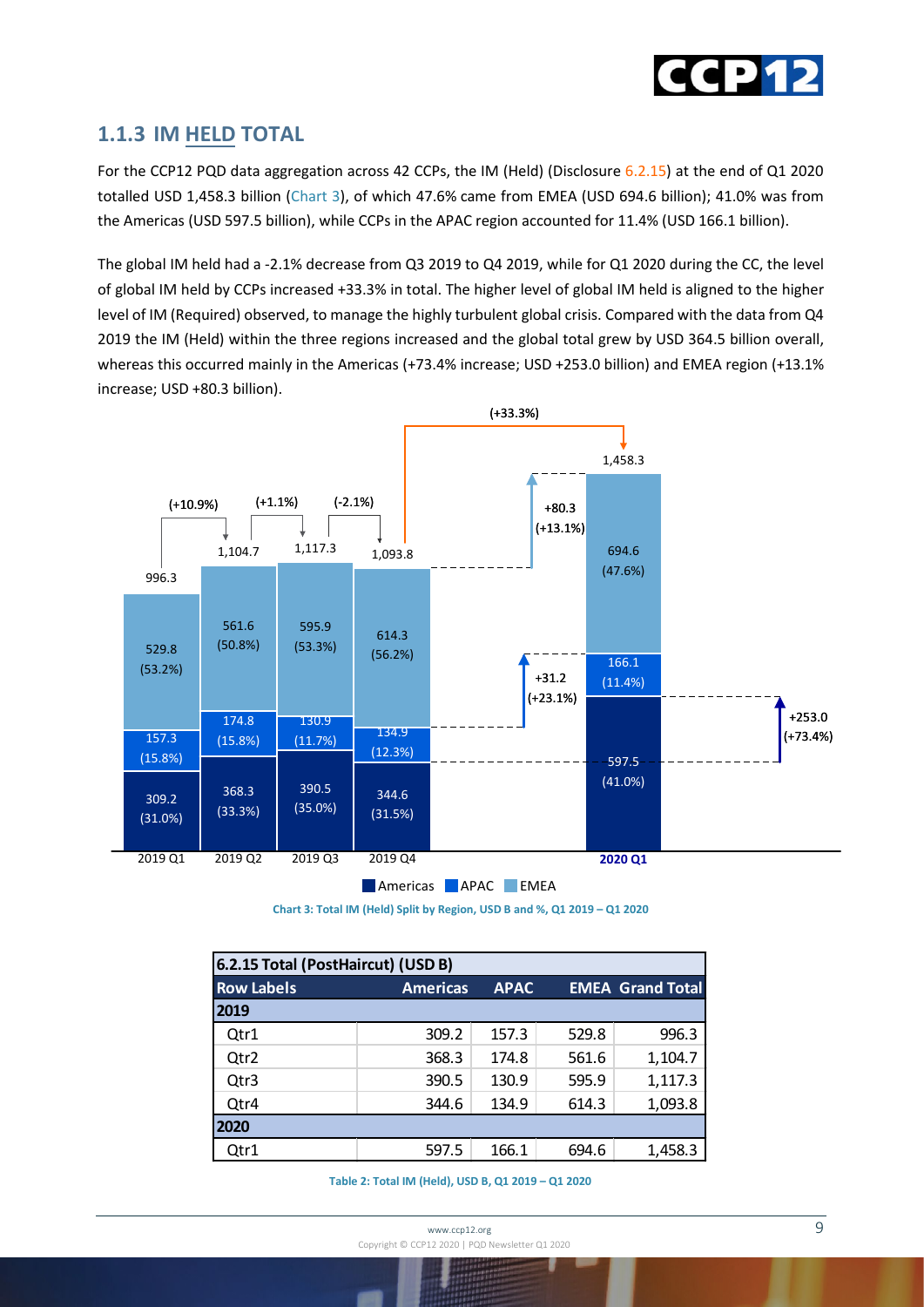

For the CCP12 PQD data aggregation across 42 CCPs, the IM (Held) (Disclosure 6.2.15) at the end of Q1 2020 totalled USD 1,458.3 billion (Chart 3), of which 47.6% came from EMEA (USD 694.6 billion); 41.0% was from the Americas (USD 597.5 billion), while CCPs in the APAC region accounted for 11.4% (USD 166.1 billion).

<span id="page-8-0"></span>**1.1.3 IM HELD TOTAL**<br>For the CCP12 PQD data aggregation across 42 CCPs, the IM (Held<br>totalled USD 1,458.3 billion (Chart 3), of which 47.6% came from<br>the Americas (USD 597.5 billion), while CCPs in the APAC region ac<br>The The global IM held had a -2.1% decrease from Q3 2019 to Q4 2019, while for Q1 2020 during the CC, the level of global IM held by CCPs increased +33.3% in total. The higher level of global IM held is aligned to the higher level of IM (Required) observed, to manage the highly turbulent global crisis. Compared with the data from Q4 2019 the IM (Held) within the three regions increased and the global total grew by USD 364.5 billion overall, whereas this occurred mainly in the Americas (+73.4% increase; USD +253.0 billion) and EMEA region (+13.1% increase; USD +80.3 billion).



**Chart 3: Total IM (Held) Split by Region, USD B and %, Q1 2019 – Q1 2020**

| 6.2.15 Total (PostHaircut) (USD B) |                 |             |       |                         |  |  |
|------------------------------------|-----------------|-------------|-------|-------------------------|--|--|
| <b>Row Labels</b>                  | <b>Americas</b> | <b>APAC</b> |       | <b>EMEA Grand Total</b> |  |  |
| 2019                               |                 |             |       |                         |  |  |
| Qtr1                               | 309.2           | 157.3       | 529.8 | 996.3                   |  |  |
| Qtr2                               | 368.3           | 174.8       | 561.6 | 1,104.7                 |  |  |
| Qtr3                               | 390.5           | 130.9       | 595.9 | 1,117.3                 |  |  |
| Qtr4                               | 344.6           | 134.9       | 614.3 | 1,093.8                 |  |  |
| 2020                               |                 |             |       |                         |  |  |
| Qtr1                               | 597.5           | 166.1       | 694.6 | 1,458.3                 |  |  |

**Table 2: Total IM (Held), USD B, Q1 2019 – Q1 2020**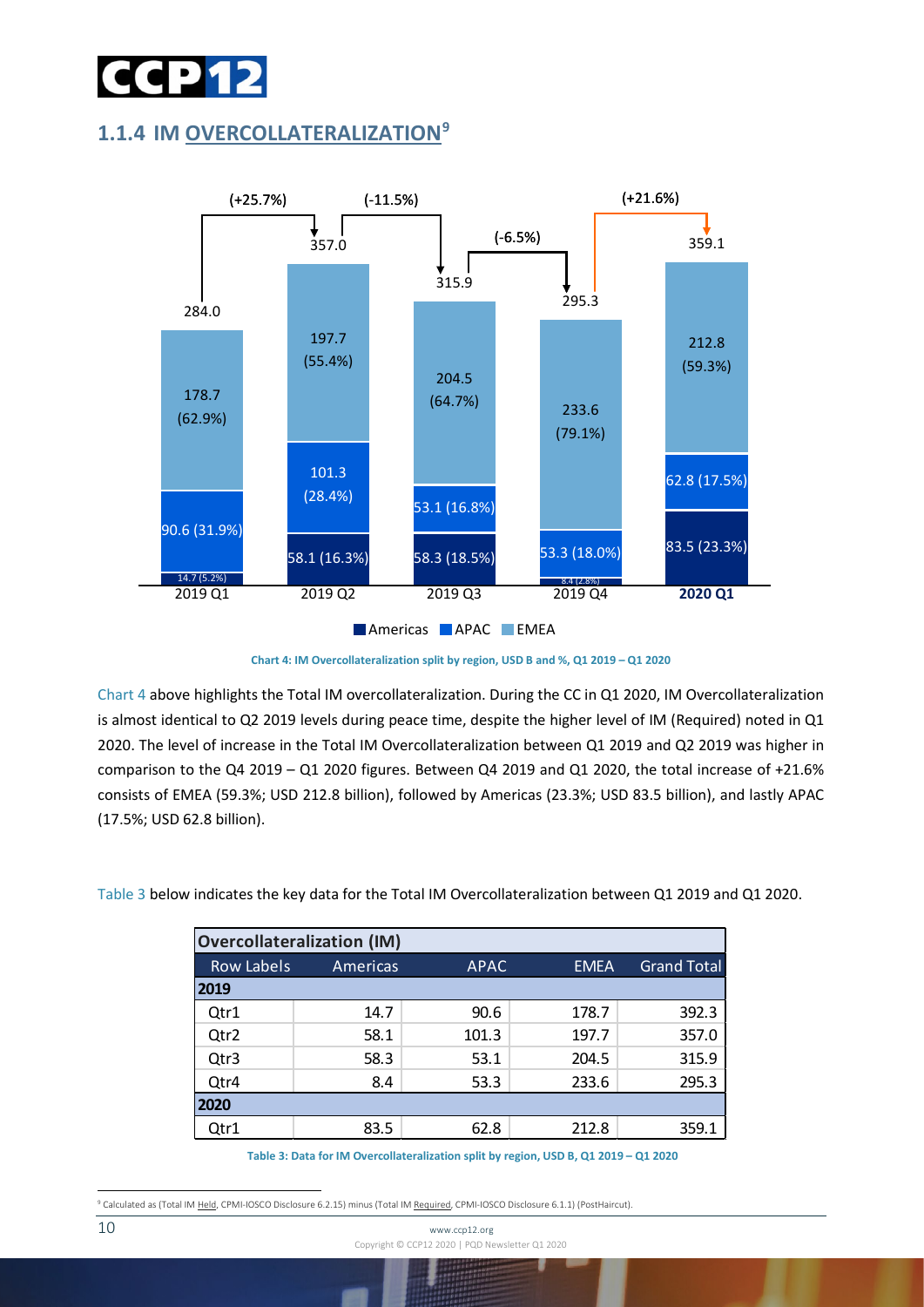

#### <span id="page-9-0"></span>**1.1.4 IM OVERCOLLATERALIZATION[9](#page-9-1)**



**Chart 4: IM Overcollateralization split by region, USD B and %, Q1 2019 – Q1 2020**

Chart 4 above highlights the Total IM overcollateralization. During the CC in Q1 2020, IM Overcollateralization is almost identical to Q2 2019 levels during peace time, despite the higher level of IM (Required) noted in Q1 2020. The level of increase in the Total IM Overcollateralization between Q1 2019 and Q2 2019 was higher in comparison to the Q4 2019 – Q1 2020 figures. Between Q4 2019 and Q1 2020, the total increase of +21.6% consists of EMEA (59.3%; USD 212.8 billion), followed by Americas (23.3%; USD 83.5 billion), and lastly APAC (17.5%; USD 62.8 billion).

Table 3 below indicates the key data for the Total IM Overcollateralization between Q1 2019 and Q1 2020.

| <b>Overcollateralization (IM)</b> |                 |             |             |                    |  |  |
|-----------------------------------|-----------------|-------------|-------------|--------------------|--|--|
| <b>Row Labels</b>                 | <b>Americas</b> | <b>APAC</b> | <b>EMEA</b> | <b>Grand Total</b> |  |  |
| 2019                              |                 |             |             |                    |  |  |
| Qtr1                              | 14.7            | 90.6        | 178.7       | 392.3              |  |  |
| Qtr2                              | 58.1            | 101.3       | 197.7       | 357.0              |  |  |
| Qtr3                              | 58.3            | 53.1        | 204.5       | 315.9              |  |  |
| Qtr4                              | 8.4             | 53.3        | 233.6       | 295.3              |  |  |
| 2020                              |                 |             |             |                    |  |  |
| Qtr1                              | 83.5            | 62.8        | 212.8       | 359.1              |  |  |

**Table 3: Data for IM Overcollateralization split by region, USD B, Q1 2019 – Q1 2020**

<span id="page-9-1"></span><sup>&</sup>lt;sup>9</sup> Calculated as (Total IM Held, CPMI-IOSCO Disclosure 6.2.15) minus (Total IM Required, CPMI-IOSCO Disclosure 6.1.1) (PostHaircut)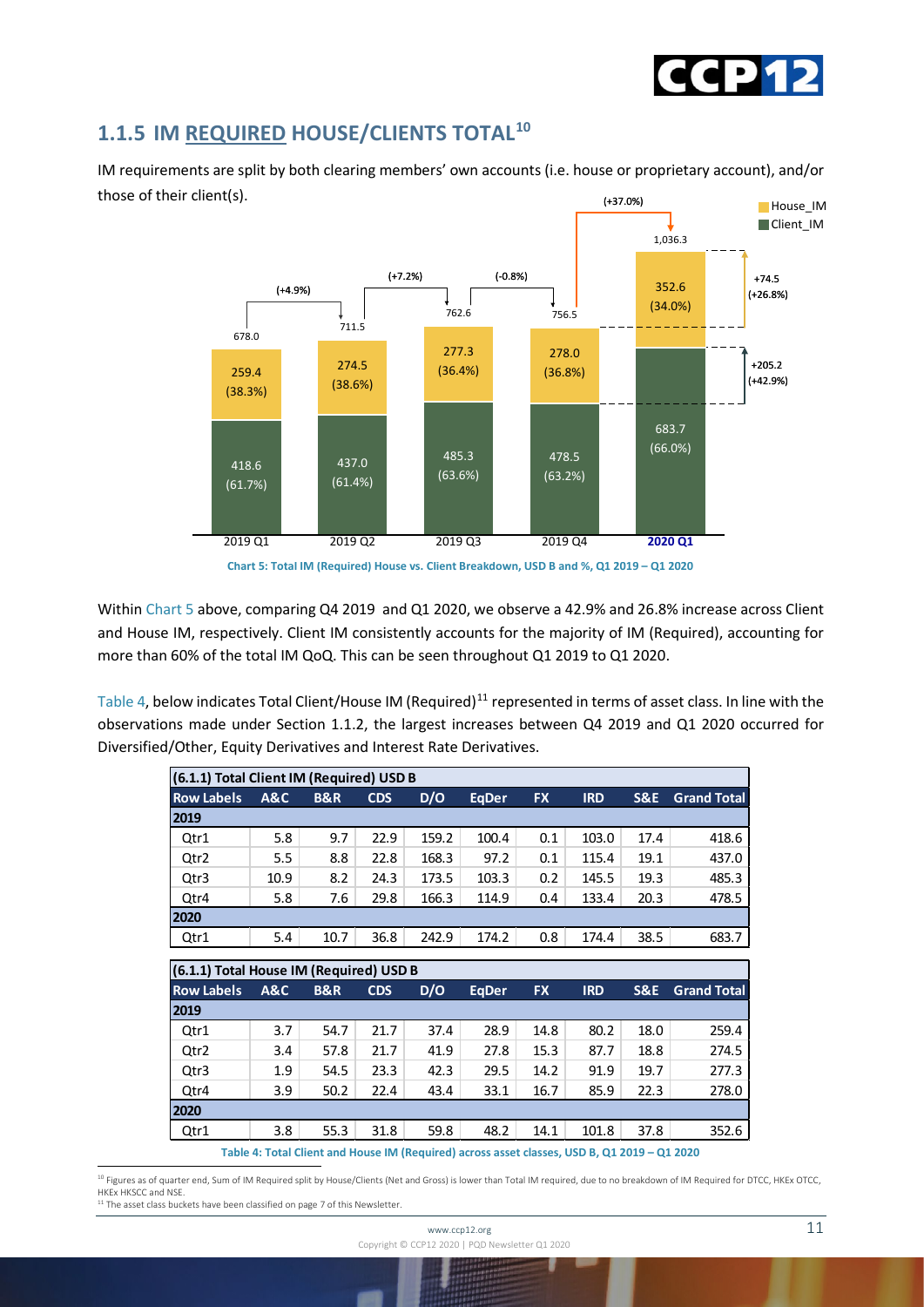

#### <span id="page-10-0"></span>**1.1.5 IM REQUIRED HOUSE/CLIENTS TOTAL[10](#page-10-1)**

(+37.0%) IM requirements are split by both clearing members' own accounts (i.e. house or proprietary account), and/or those of their client(s).





Within Chart 5 above, comparing Q4 2019 and Q1 2020, we observe a 42.9% and 26.8% increase across Client and House IM, respectively. Client IM consistently accounts for the majority of IM (Required), accounting for more than 60% of the total IM QoQ. This can be seen throughout Q1 2019 to Q1 2020.

Table 4, below indicates Total Client/House IM (Required)<sup>[11](#page-10-2)</sup> represented in terms of asset class. In line with the observations made under Section 1.1.2, the largest increases between Q4 2019 and Q1 2020 occurred for Diversified/Other, Equity Derivatives and Interest Rate Derivatives.

| (6.1.1) Total Client IM (Required) USD B |                |                |            |       |              |           |            |                |                    |
|------------------------------------------|----------------|----------------|------------|-------|--------------|-----------|------------|----------------|--------------------|
| <b>Row Labels</b>                        | <b>A&amp;C</b> | <b>B&amp;R</b> | <b>CDS</b> | D/O   | <b>EgDer</b> | <b>FX</b> | <b>IRD</b> | <b>S&amp;E</b> | <b>Grand Total</b> |
| 2019                                     |                |                |            |       |              |           |            |                |                    |
| Qtr1                                     | 5.8            | 9.7            | 22.9       | 159.2 | 100.4        | 0.1       | 103.0      | 17.4           | 418.6              |
| Qtr2                                     | 5.5            | 8.8            | 22.8       | 168.3 | 97.2         | 0.1       | 115.4      | 19.1           | 437.0              |
| Qtr3                                     | 10.9           | 8.2            | 24.3       | 173.5 | 103.3        | 0.2       | 145.5      | 19.3           | 485.3              |
| Qtr4                                     | 5.8            | 7.6            | 29.8       | 166.3 | 114.9        | 0.4       | 133.4      | 20.3           | 478.5              |
| 2020                                     |                |                |            |       |              |           |            |                |                    |
| Qtr1                                     | 5.4            | 10.7           | 36.8       | 242.9 | 174.2        | 0.8       | 174.4      | 38.5           | 683.7              |
|                                          |                |                |            |       |              |           |            |                |                    |
| (6.1.1) Total House IM (Required) USD B  |                |                |            |       |              |           |            |                |                    |
|                                          |                |                |            |       |              |           |            |                |                    |

| (6.1.1) Total House IM (Required) USD B |                |                |            |      |              |           |            |      |                    |
|-----------------------------------------|----------------|----------------|------------|------|--------------|-----------|------------|------|--------------------|
| <b>Row Labels</b>                       | <b>A&amp;C</b> | <b>B&amp;R</b> | <b>CDS</b> | D/O  | <b>EgDer</b> | <b>FX</b> | <b>IRD</b> | S&E  | <b>Grand Total</b> |
| 2019                                    |                |                |            |      |              |           |            |      |                    |
| Qtr1                                    | 3.7            | 54.7           | 21.7       | 37.4 | 28.9         | 14.8      | 80.2       | 18.0 | 259.4              |
| Qtr2                                    | 3.4            | 57.8           | 21.7       | 41.9 | 27.8         | 15.3      | 87.7       | 18.8 | 274.5              |
| Qtr3                                    | 1.9            | 54.5           | 23.3       | 42.3 | 29.5         | 14.2      | 91.9       | 19.7 | 277.3              |
| Qtr4                                    | 3.9            | 50.2           | 22.4       | 43.4 | 33.1         | 16.7      | 85.9       | 22.3 | 278.0              |
| 2020                                    |                |                |            |      |              |           |            |      |                    |
| Qtr1                                    | 3.8            | 55.3           | 31.8       | 59.8 | 48.2         | 14.1      | 101.8      | 37.8 | 352.6              |
|                                         |                | .              |            |      |              |           |            |      |                    |

**Table 4: Total Client and House IM (Required) across asset classes, USD B, Q1 2019 – Q1 2020**

<span id="page-10-1"></span><sup>10</sup> Figures as of quarter end, Sum of IM Required split by House/Clients (Net and Gross) is lower than Total IM required, due to no breakdown of IM Required for DTCC, HKEx OTCC, HKEx HKSCC and NSE

<span id="page-10-2"></span> $11$  The asset class buckets have been classified on page 7 of this Newsletter.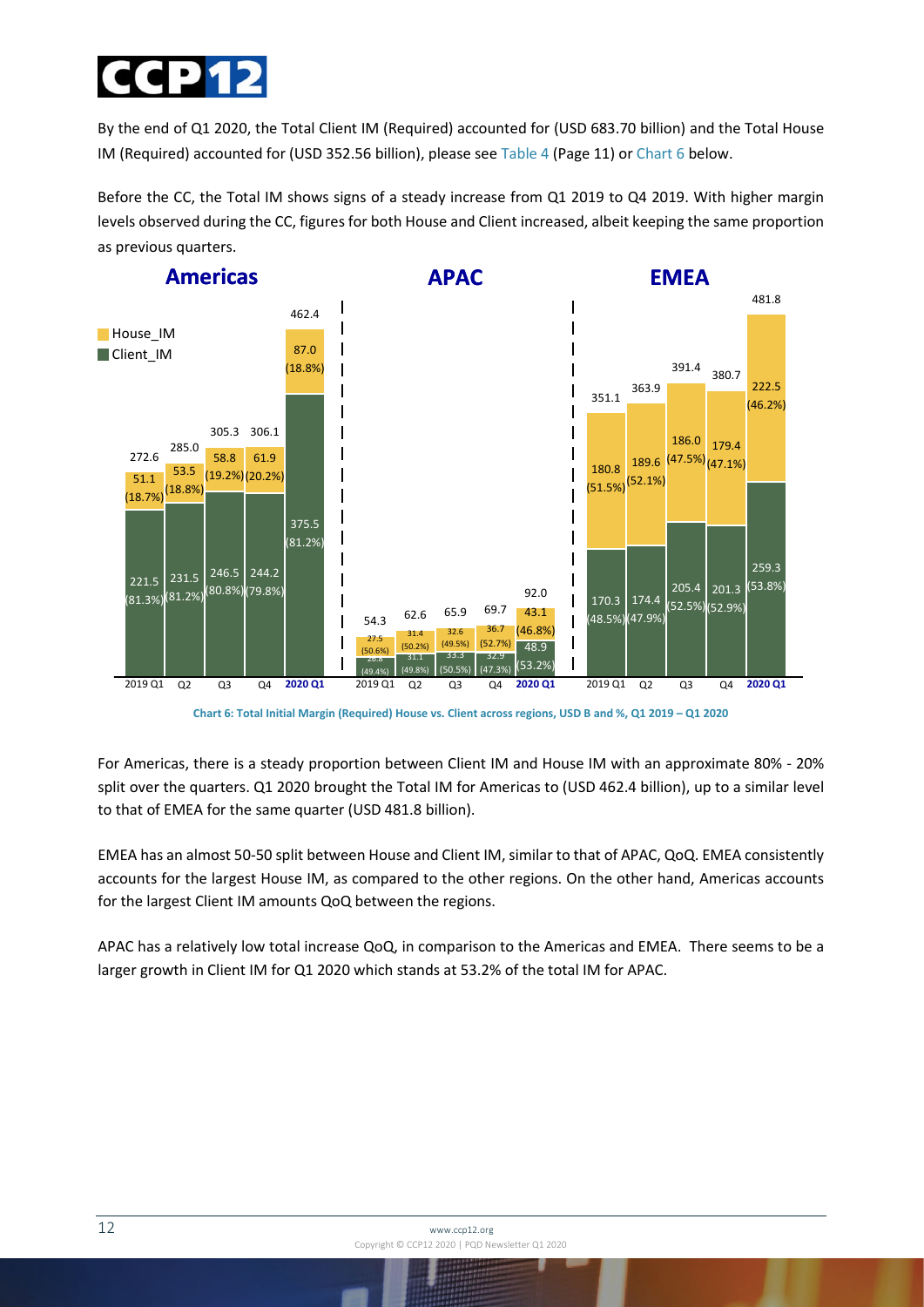

By the end of Q1 2020, the Total Client IM (Required) accounted for (USD 683.70 billion) and the Total House IM (Required) accounted for (USD 352.56 billion), please see Table 4 (Page 11) or Chart 6 below.

Before the CC, the Total IM shows signs of a steady increase from Q1 2019 to Q4 2019. With higher margin levels observed during the CC, figures for both House and Client increased, albeit keeping the same proportion as previous quarters.



**Chart 6: Total Initial Margin (Required) House vs. Client across regions, USD B and %, Q1 2019 – Q1 2020**

For Americas, there is a steady proportion between Client IM and House IM with an approximate 80% - 20% split over the quarters. Q1 2020 brought the Total IM for Americas to (USD 462.4 billion), up to a similar level to that of EMEA for the same quarter (USD 481.8 billion).

EMEA has an almost 50-50 split between House and Client IM, similar to that of APAC, QoQ. EMEA consistently accounts for the largest House IM, as compared to the other regions. On the other hand, Americas accounts for the largest Client IM amounts QoQ between the regions.

APAC has a relatively low total increase QoQ, in comparison to the Americas and EMEA. There seems to be a larger growth in Client IM for Q1 2020 which stands at 53.2% of the total IM for APAC.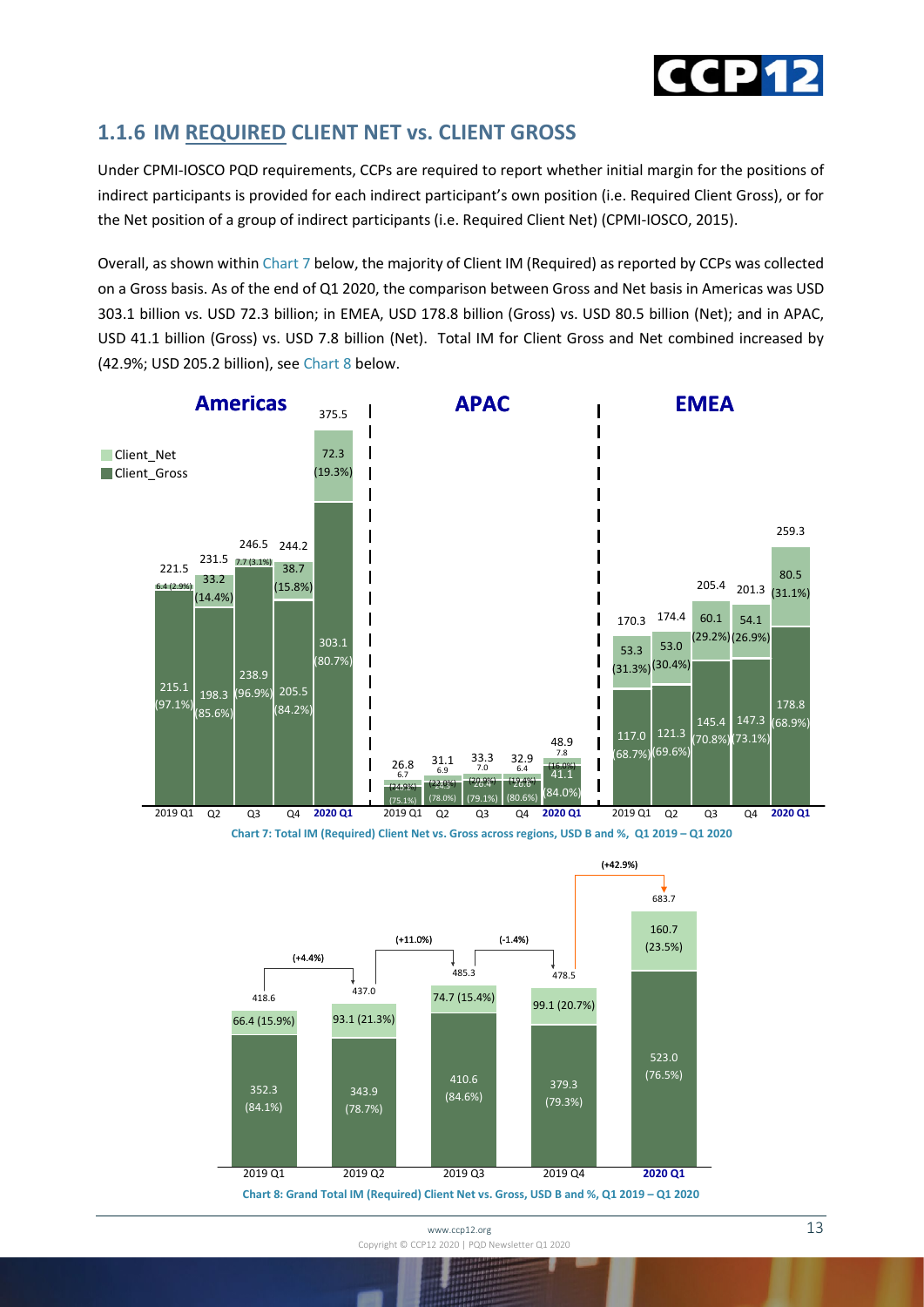

#### <span id="page-12-0"></span>**1.1.6 IM REQUIRED CLIENT NET vs. CLIENT GROSS**

Under CPMI-IOSCO PQD requirements, CCPs are required to report whether initial margin for the positions of indirect participants is provided for each indirect participant's own position (i.e. Required Client Gross), or for the Net position of a group of indirect participants (i.e. Required Client Net) (CPMI-IOSCO, 2015).

Overall, as shown within Chart 7 below, the majority of Client IM (Required) as reported by CCPs was collected on a Gross basis. As of the end of Q1 2020, the comparison between Gross and Net basis in Americas was USD 303.1 billion vs. USD 72.3 billion; in EMEA, USD 178.8 billion (Gross) vs. USD 80.5 billion (Net); and in APAC, USD 41.1 billion (Gross) vs. USD 7.8 billion (Net). Total IM for Client Gross and Net combined increased by (42.9%; USD 205.2 billion), see Chart 8 below.





**Chart 8: Grand Total IM (Required) Client Net vs. Gross, USD B and %, Q1 2019 – Q1 2020**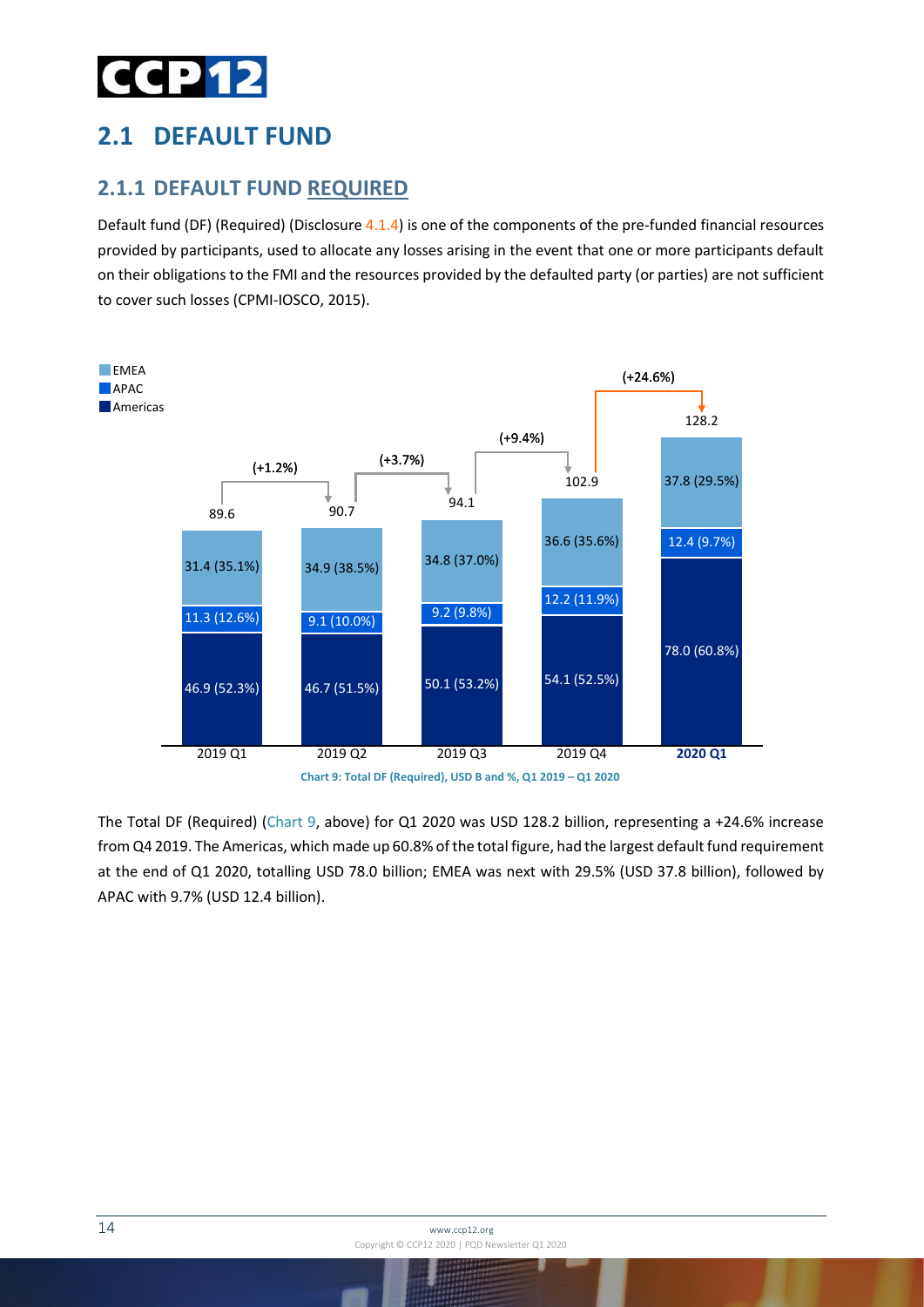## CP 12

## <span id="page-13-0"></span>**2.1 DEFAULT FUND**

#### <span id="page-13-1"></span>**2.1.1 DEFAULT FUND REQUIRED**

Default fund (DF) (Required) (Disclosure 4.1.4) is one of the components of the pre-funded financial resources provided by participants, used to allocate any losses arising in the event that one or more participants default on their obligations to the FMI and the resources provided by the defaulted party (or parties) are not sufficient to cover such losses (CPMI-IOSCO, 2015).



The Total DF (Required) (Chart 9, above) for Q1 2020 was USD 128.2 billion, representing a +24.6% increase from Q4 2019. The Americas, which made up 60.8% of the total figure, had the largest default fund requirement at the end of Q1 2020, totalling USD 78.0 billion; EMEA was next with 29.5% (USD 37.8 billion), followed by APAC with 9.7% (USD 12.4 billion).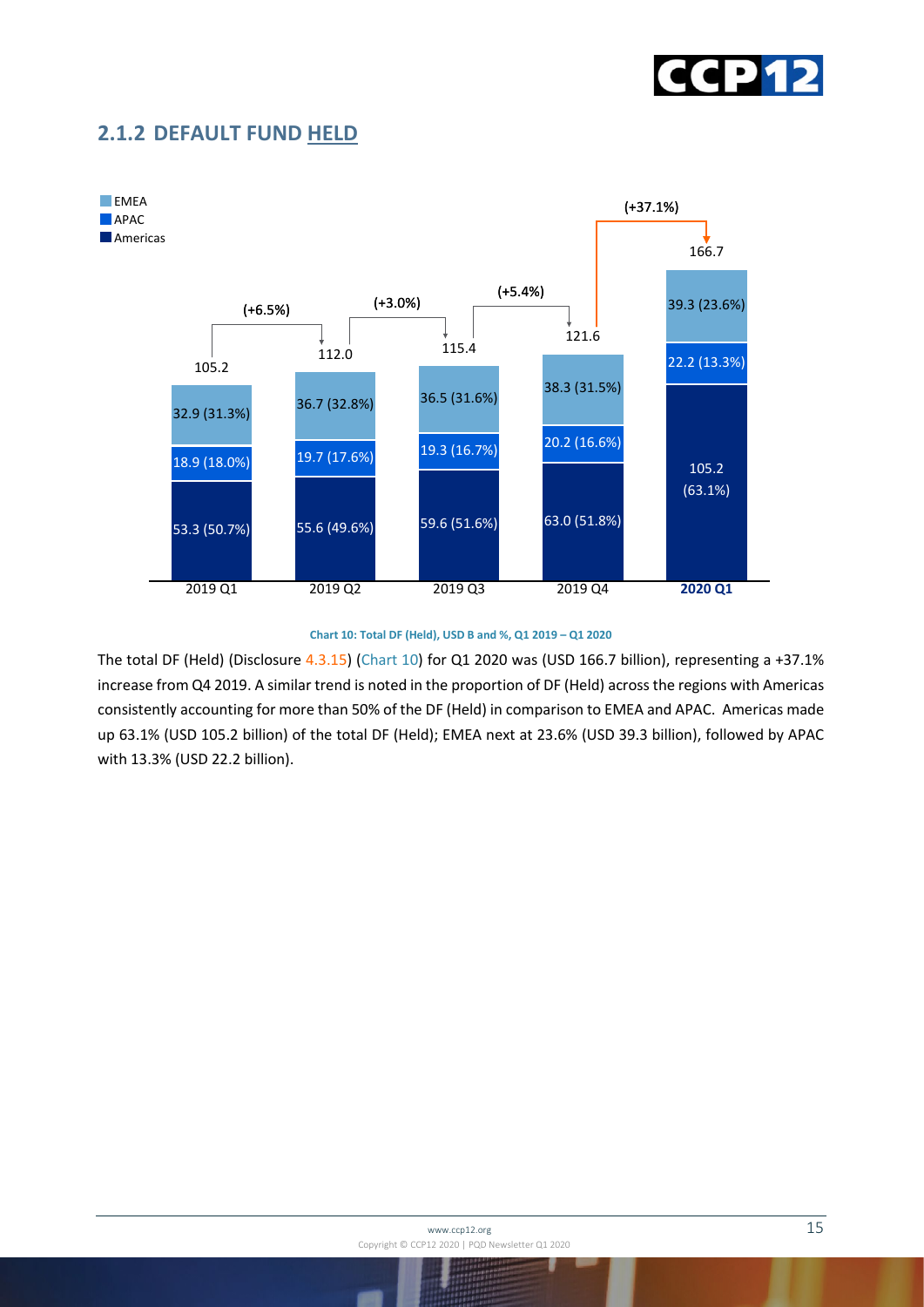

#### <span id="page-14-0"></span>**2.1.2 DEFAULT FUND HELD**



#### **Chart 10: Total DF (Held), USD B and %, Q1 2019 – Q1 2020**

The total DF (Held) (Disclosure 4.3.15) (Chart 10) for Q1 2020 was (USD 166.7 billion), representing a +37.1% increase from Q4 2019. A similar trend is noted in the proportion of DF (Held) across the regions with Americas consistently accounting for more than 50% of the DF (Held) in comparison to EMEA and APAC. Americas made up 63.1% (USD 105.2 billion) of the total DF (Held); EMEA next at 23.6% (USD 39.3 billion), followed by APAC with 13.3% (USD 22.2 billion).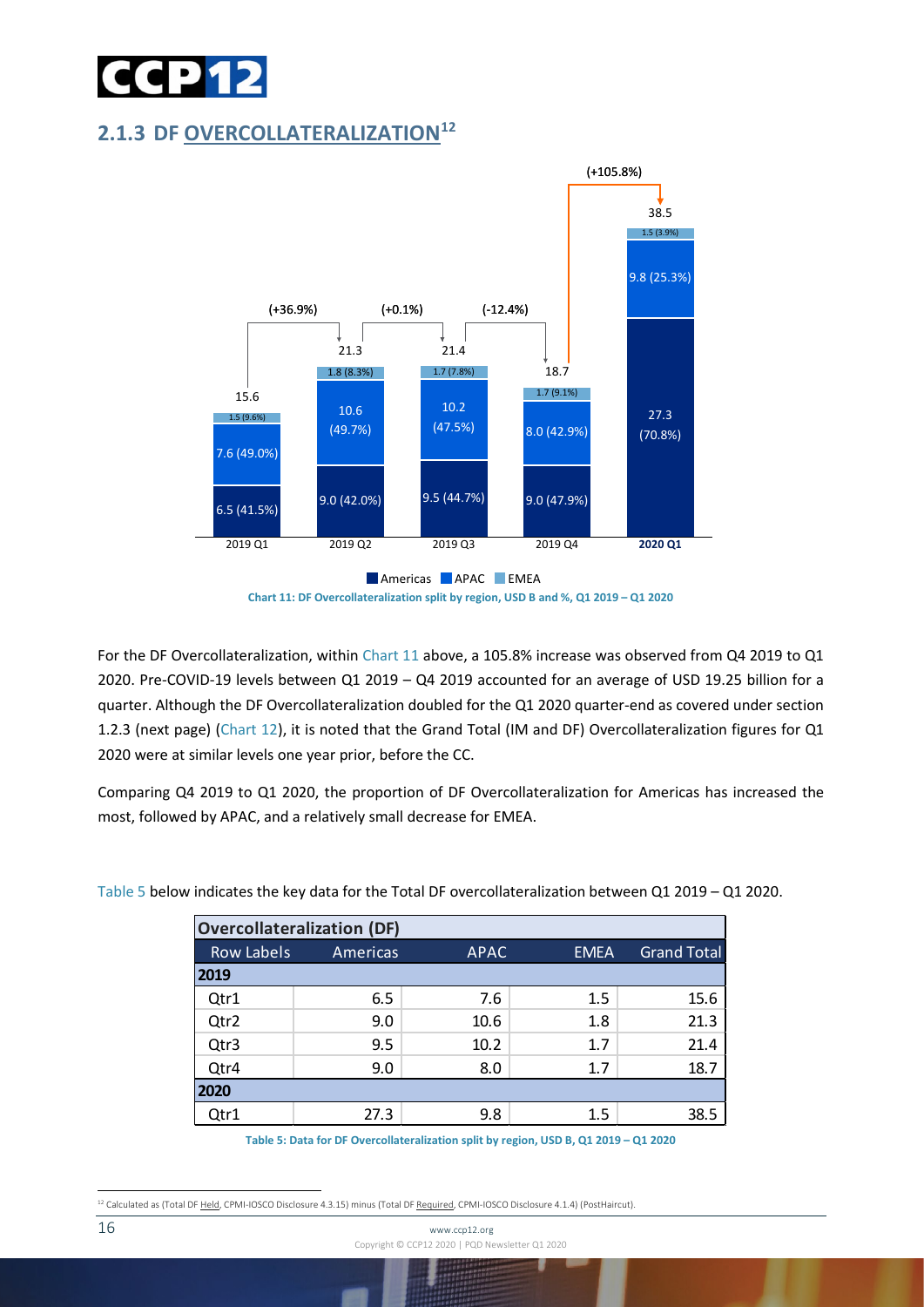

#### <span id="page-15-0"></span>**2.1.3 DF OVERCOLLATERALIZATION[12](#page-15-1)**



**Chart 11: DF Overcollateralization split by region, USD B and %, Q1 2019 – Q1 2020**

For the DF Overcollateralization, within Chart 11 above, a 105.8% increase was observed from Q4 2019 to Q1 2020. Pre-COVID-19 levels between Q1 2019 – Q4 2019 accounted for an average of USD 19.25 billion for a quarter. Although the DF Overcollateralization doubled for the Q1 2020 quarter-end as covered under section 1.2.3 (next page) (Chart 12), it is noted that the Grand Total (IM and DF) Overcollateralization figures for Q1 2020 were at similar levels one year prior, before the CC.

Comparing Q4 2019 to Q1 2020, the proportion of DF Overcollateralization for Americas has increased the most, followed by APAC, and a relatively small decrease for EMEA.

|                   | <b>Overcollateralization (DF)</b> |             |             |                    |  |  |  |
|-------------------|-----------------------------------|-------------|-------------|--------------------|--|--|--|
| <b>Row Labels</b> | Americas                          | <b>APAC</b> | <b>EMEA</b> | <b>Grand Total</b> |  |  |  |
| 2019              |                                   |             |             |                    |  |  |  |
| Qtr1              | 6.5                               | 7.6         | 1.5         | 15.6               |  |  |  |
| Qtr2              | 9.0                               | 10.6        | 1.8         | 21.3               |  |  |  |
| Qtr3              | 9.5                               | 10.2        | 1.7         | 21.4               |  |  |  |
| Qtr4              | 9.0                               | 8.0         | 1.7         | 18.7               |  |  |  |
| 2020              |                                   |             |             |                    |  |  |  |
| Qtr1              | 27.3                              | 9.8         | $1.5\,$     | 38.5               |  |  |  |

Table 5 below indicates the key data for the Total DF overcollateralization between Q1 2019 – Q1 2020.

**Table 5: Data for DF Overcollateralization split by region, USD B, Q1 2019 – Q1 2020**

<span id="page-15-1"></span><sup>&</sup>lt;sup>12</sup> Calculated as (Total DF Held, CPMI-IOSCO Disclosure 4.3.15) minus (Total DF Required, CPMI-IOSCO Disclosure 4.1.4) (PostHaircut).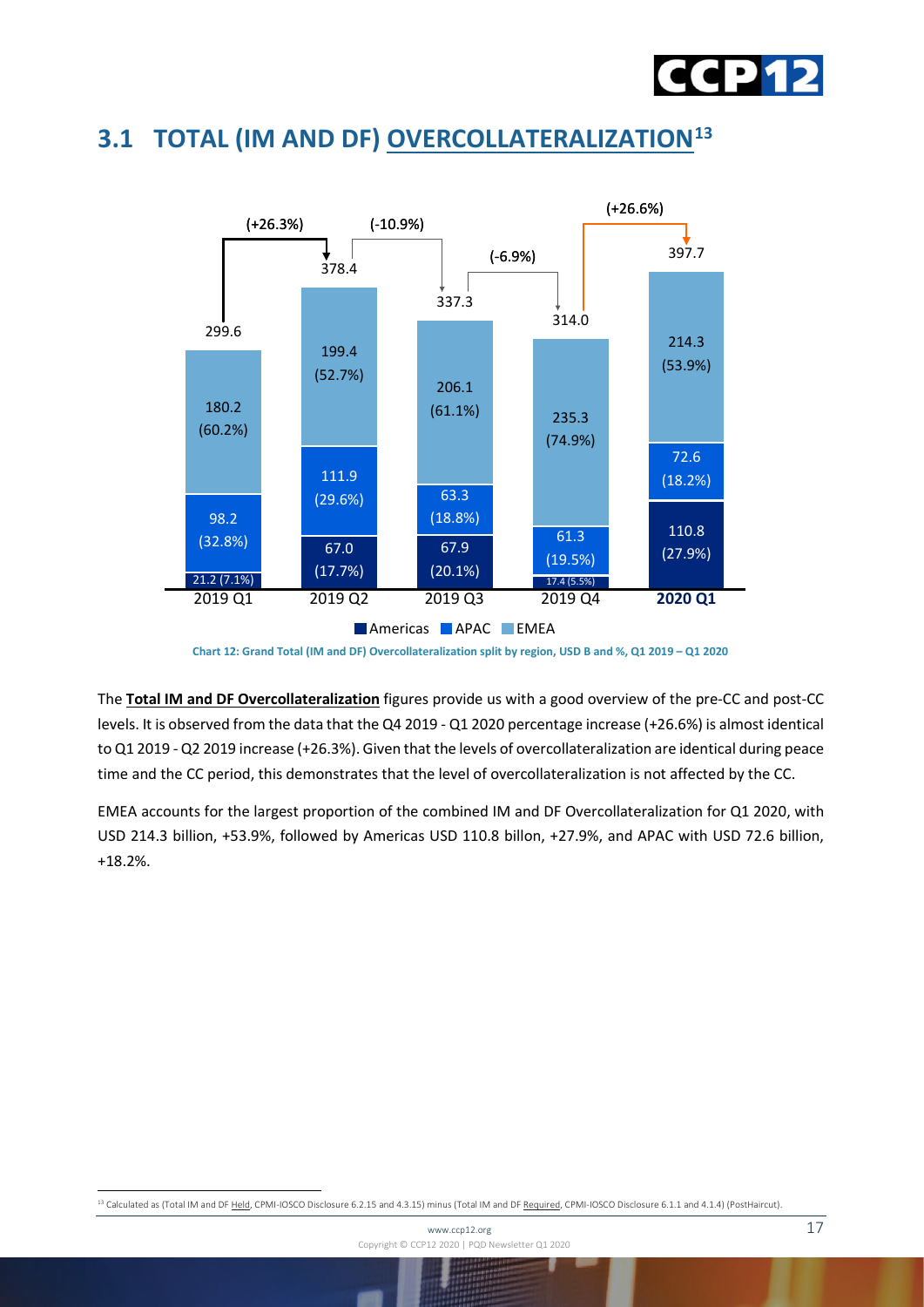

## <span id="page-16-0"></span>**3.1 TOTAL (IM AND DF) OVERCOLLATERALIZATION[13](#page-16-1)**



**Chart 12: Grand Total (IM and DF) Overcollateralization split by region, USD B and %, Q1 2019 – Q1 2020**

The **Total IM and DF Overcollateralization** figures provide us with a good overview of the pre-CC and post-CC levels. It is observed from the data that the Q4 2019 - Q1 2020 percentage increase (+26.6%) is almost identical to Q1 2019 - Q2 2019 increase (+26.3%). Given that the levels of overcollateralization are identical during peace time and the CC period, this demonstrates that the level of overcollateralization is not affected by the CC.

EMEA accounts for the largest proportion of the combined IM and DF Overcollateralization for Q1 2020, with USD 214.3 billion, +53.9%, followed by Americas USD 110.8 billon, +27.9%, and APAC with USD 72.6 billion, +18.2%.

<span id="page-16-1"></span>13 Calculated as (Total IM and DF Held, CPMI-IOSCO Disclosure 6.2.15 and 4.3.15) minus (Total IM and DF Required, CPMI-IOSCO Disclosure 6.1.1 and 4.1.4) (PostHaircut).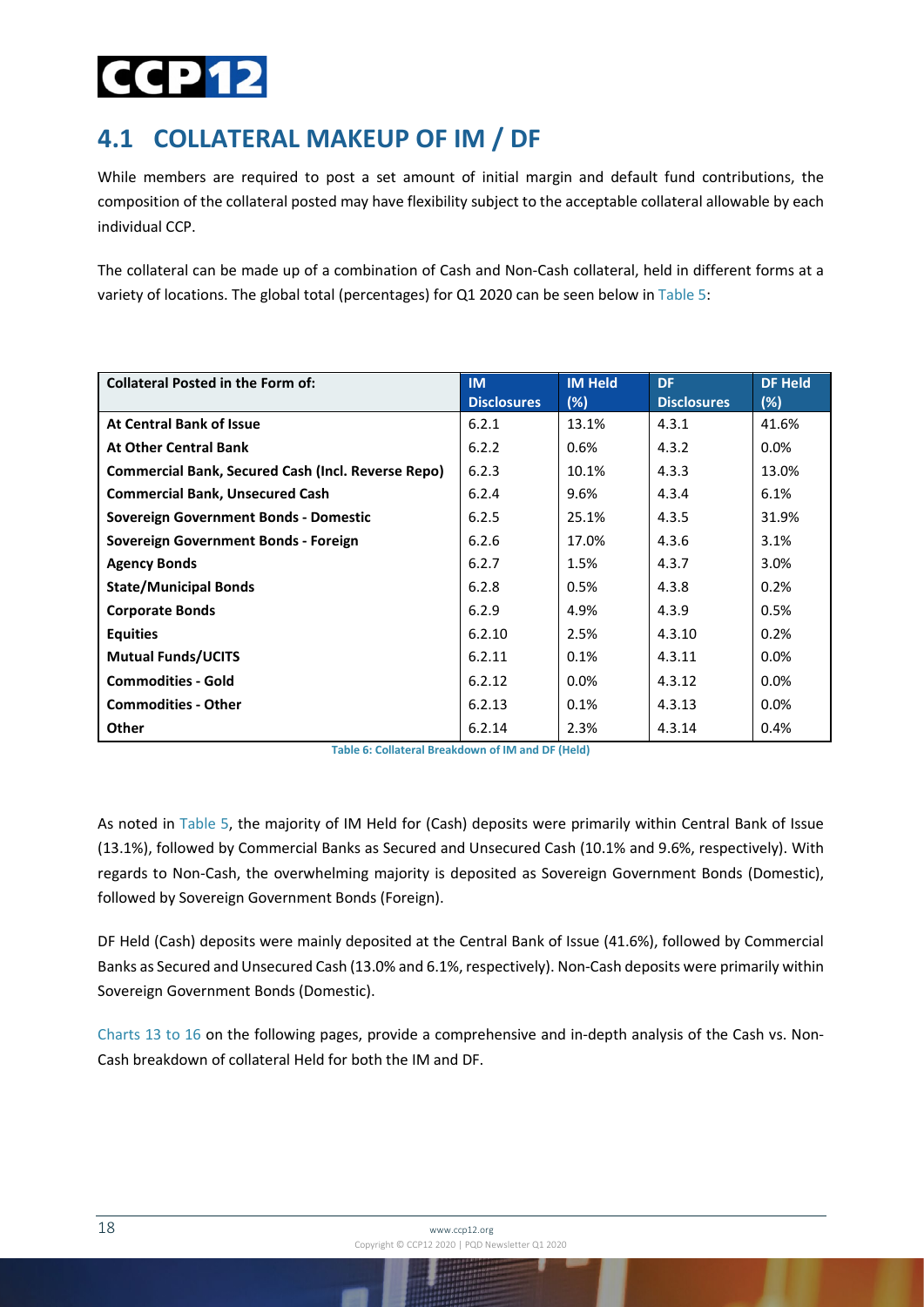## dd 12

## <span id="page-17-0"></span>**4.1 COLLATERAL MAKEUP OF IM / DF**

While members are required to post a set amount of initial margin and default fund contributions, the composition of the collateral posted may have flexibility subject to the acceptable collateral allowable by each individual CCP.

The collateral can be made up of a combination of Cash and Non-Cash collateral, held in different forms at a variety of locations. The global total (percentages) for Q1 2020 can be seen below in Table 5:

| <b>Collateral Posted in the Form of:</b>                  | <b>IM</b>          | <b>IM Held</b> | <b>DF</b>          | <b>DF Held</b> |
|-----------------------------------------------------------|--------------------|----------------|--------------------|----------------|
|                                                           | <b>Disclosures</b> | (%)            | <b>Disclosures</b> | (%)            |
| <b>At Central Bank of Issue</b>                           | 6.2.1              | 13.1%          | 4.3.1              | 41.6%          |
| <b>At Other Central Bank</b>                              | 6.2.2              | 0.6%           | 4.3.2              | $0.0\%$        |
| <b>Commercial Bank, Secured Cash (Incl. Reverse Repo)</b> | 6.2.3              | 10.1%          | 4.3.3              | 13.0%          |
| <b>Commercial Bank, Unsecured Cash</b>                    | 6.2.4              | 9.6%           | 4.3.4              | 6.1%           |
| Sovereign Government Bonds - Domestic                     | 6.2.5              | 25.1%          | 4.3.5              | 31.9%          |
| Sovereign Government Bonds - Foreign                      | 6.2.6              | 17.0%          | 4.3.6              | 3.1%           |
| <b>Agency Bonds</b>                                       | 6.2.7              | 1.5%           | 4.3.7              | 3.0%           |
| <b>State/Municipal Bonds</b>                              | 6.2.8              | 0.5%           | 4.3.8              | 0.2%           |
| <b>Corporate Bonds</b>                                    | 6.2.9              | 4.9%           | 4.3.9              | 0.5%           |
| <b>Equities</b>                                           | 6.2.10             | 2.5%           | 4.3.10             | 0.2%           |
| <b>Mutual Funds/UCITS</b>                                 | 6.2.11             | 0.1%           | 4.3.11             | 0.0%           |
| <b>Commodities - Gold</b>                                 | 6.2.12             | 0.0%           | 4.3.12             | 0.0%           |
| <b>Commodities - Other</b>                                | 6.2.13             | 0.1%           | 4.3.13             | $0.0\%$        |
| <b>Other</b>                                              | 6.2.14             | 2.3%           | 4.3.14             | 0.4%           |

**Table 6: Collateral Breakdown of IM and DF (Held)**

As noted in Table 5, the majority of IM Held for (Cash) deposits were primarily within Central Bank of Issue (13.1%), followed by Commercial Banks as Secured and Unsecured Cash (10.1% and 9.6%, respectively). With regards to Non-Cash, the overwhelming majority is deposited as Sovereign Government Bonds (Domestic), followed by Sovereign Government Bonds (Foreign).

DF Held (Cash) deposits were mainly deposited at the Central Bank of Issue (41.6%), followed by Commercial Banks as Secured and Unsecured Cash (13.0% and 6.1%, respectively). Non-Cash deposits were primarily within Sovereign Government Bonds (Domestic).

Charts 13 to 16 on the following pages, provide a comprehensive and in-depth analysis of the Cash vs. Non-Cash breakdown of collateral Held for both the IM and DF.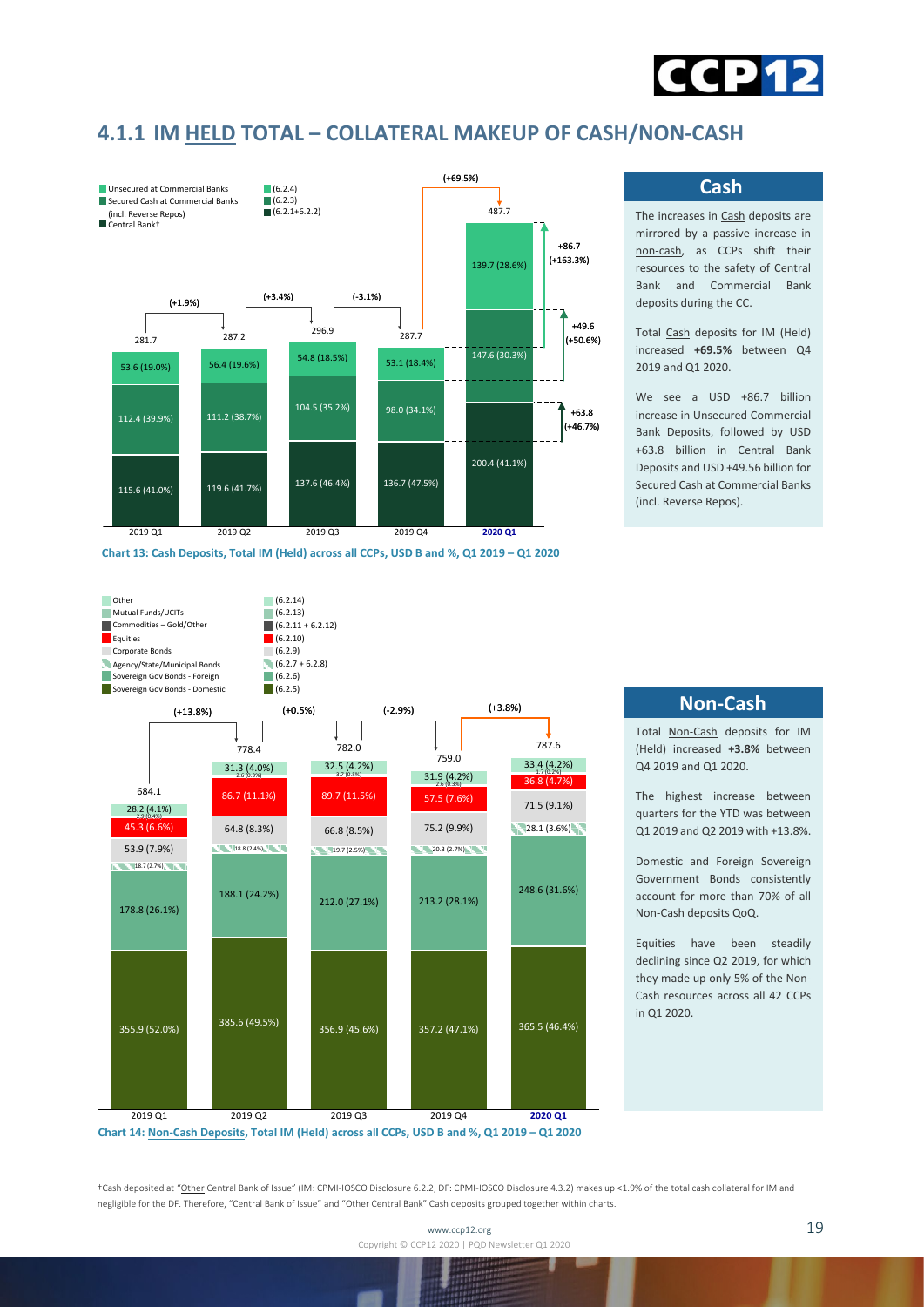

#### <span id="page-18-0"></span>**4.1.1 IM HELD TOTAL – COLLATERAL MAKEUP OF CASH/NON-CASH**



**Cash**

The increases in Cash deposits are mirrored by a passive increase in non-cash, as CCPs shift their resources to the safety of Central Bank and Commercial Bank deposits during the CC.

Total Cash deposits for IM (Held) increased **+69.5%** between Q4 2019 and Q1 2020.

We see a USD +86.7 billion increase in Unsecured Commercial Bank Deposits, followed by USD +63.8 billion in Central Bank Deposits and USD +49.56 billion for Secured Cash at Commercial Banks (incl. Reverse Repos).



**Non-Cash**

Total Non-Cash deposits for IM (Held) increased **+3.8%** between Q4 2019 and Q1 2020.

The highest increase between quarters for the YTD was between Q1 2019 and Q2 2019 with +13.8%.

Domestic and Foreign Sovereign Government Bonds consistently account for more than 70% of all Non-Cash deposits QoQ.

Equities have been steadily declining since Q2 2019, for which they made up only 5% of the Non-Cash resources across all 42 CCPs in Q1 2020.

**Chart 14: Non-Cash Deposits, Total IM (Held) across all CCPs, USD B and %, Q1 2019 – Q1 2020**

†Cash deposited at "Other Central Bank of Issue" (IM: CPMI-IOSCO Disclosure 6.2.2, DF: CPMI-IOSCO Disclosure 4.3.2) makes up <1.9% of the total cash collateral for IM and negligible for the DF. Therefore, "Central Bank of Issue" and "Other Central Bank" Cash deposits grouped together within charts.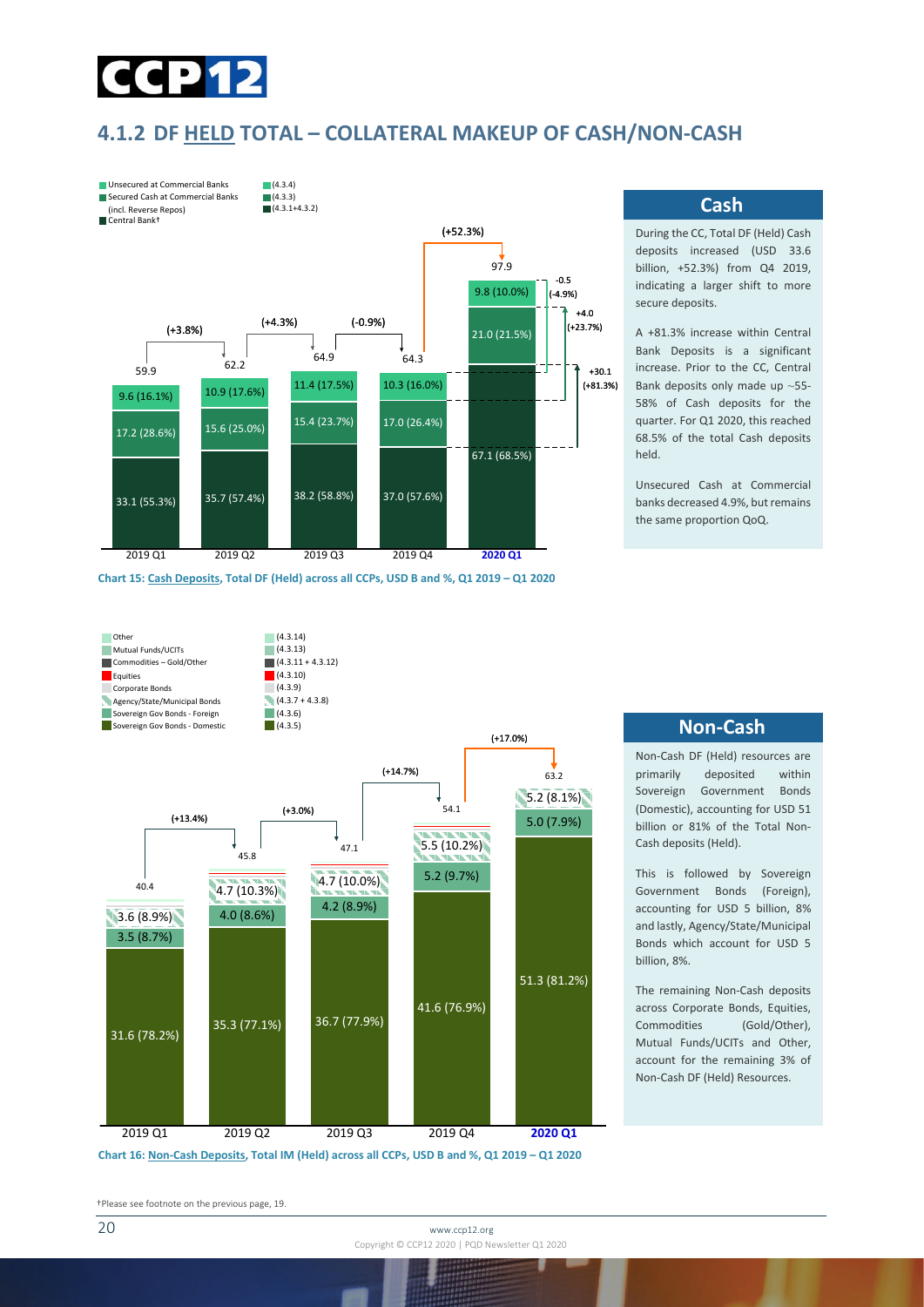

#### <span id="page-19-0"></span>**4.1.2 DF HELD TOTAL – COLLATERAL MAKEUP OF CASH/NON-CASH**



**Chart 15: Cash Deposits, Total DF (Held) across all CCPs, USD B and %, Q1 2019 – Q1 2020** 





#### **Cash**

During the CC, Total DF (Held) Cash deposits increased (USD 33.6 billion, +52.3%) from Q4 2019, indicating a larger shift to more secure deposits.

A +81.3% increase within Central Bank Deposits is a significant increase. Prior to the CC, Central Bank deposits only made up ~55- 58% of Cash deposits for the quarter. For Q1 2020, this reached 68.5% of the total Cash deposits held.

Unsecured Cash at Commercial banks decreased 4.9%, but remains the same proportion QoQ.

#### **Non-Cash**

Non-Cash DF (Held) resources are primarily deposited within Sovereign Government Bonds (Domestic), accounting for USD 51 billion or 81% of the Total Non-Cash deposits (Held).

This is followed by Sovereign Government Bonds (Foreign), accounting for USD 5 billion, 8% and lastly, Agency/State/Municipal Bonds which account for USD 5 billion, 8%.

The remaining Non-Cash deposits across Corporate Bonds, Equities, Commodities (Gold/Other), Mutual Funds/UCITs and Other, account for the remaining 3% of Non-Cash DF (Held) Resources.

†Please see footnote on the previous page, 19.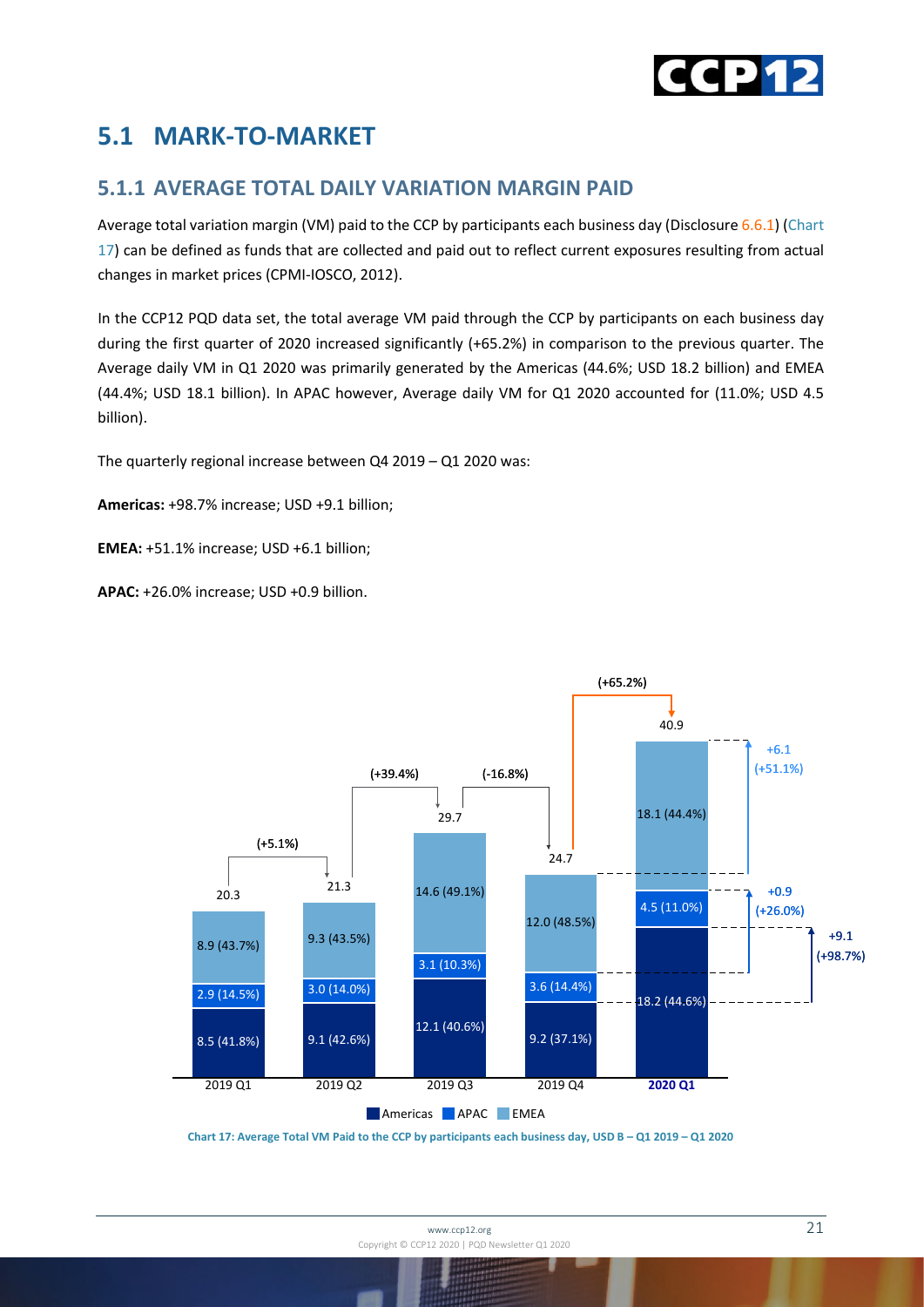

## <span id="page-20-0"></span>**5.1 MARK-TO-MARKET**

#### <span id="page-20-1"></span>**5.1.1 AVERAGE TOTAL DAILY VARIATION MARGIN PAID**

Average total variation margin (VM) paid to the CCP by participants each business day (Disclosure 6.6.1) (Chart 17) can be defined as funds that are collected and paid out to reflect current exposures resulting from actual changes in market prices (CPMI-IOSCO, 2012).

In the CCP12 PQD data set, the total average VM paid through the CCP by participants on each business day during the first quarter of 2020 increased significantly (+65.2%) in comparison to the previous quarter. The Average daily VM in Q1 2020 was primarily generated by the Americas (44.6%; USD 18.2 billion) and EMEA (44.4%; USD 18.1 billion). In APAC however, Average daily VM for Q1 2020 accounted for (11.0%; USD 4.5 billion).

The quarterly regional increase between Q4 2019 – Q1 2020 was:

**Americas:** +98.7% increase; USD +9.1 billion;

**EMEA:** +51.1% increase; USD +6.1 billion;

**APAC:** +26.0% increase; USD +0.9 billion.



**Chart 17: Average Total VM Paid to the CCP by participants each business day, USD B – Q1 2019 – Q1 2020**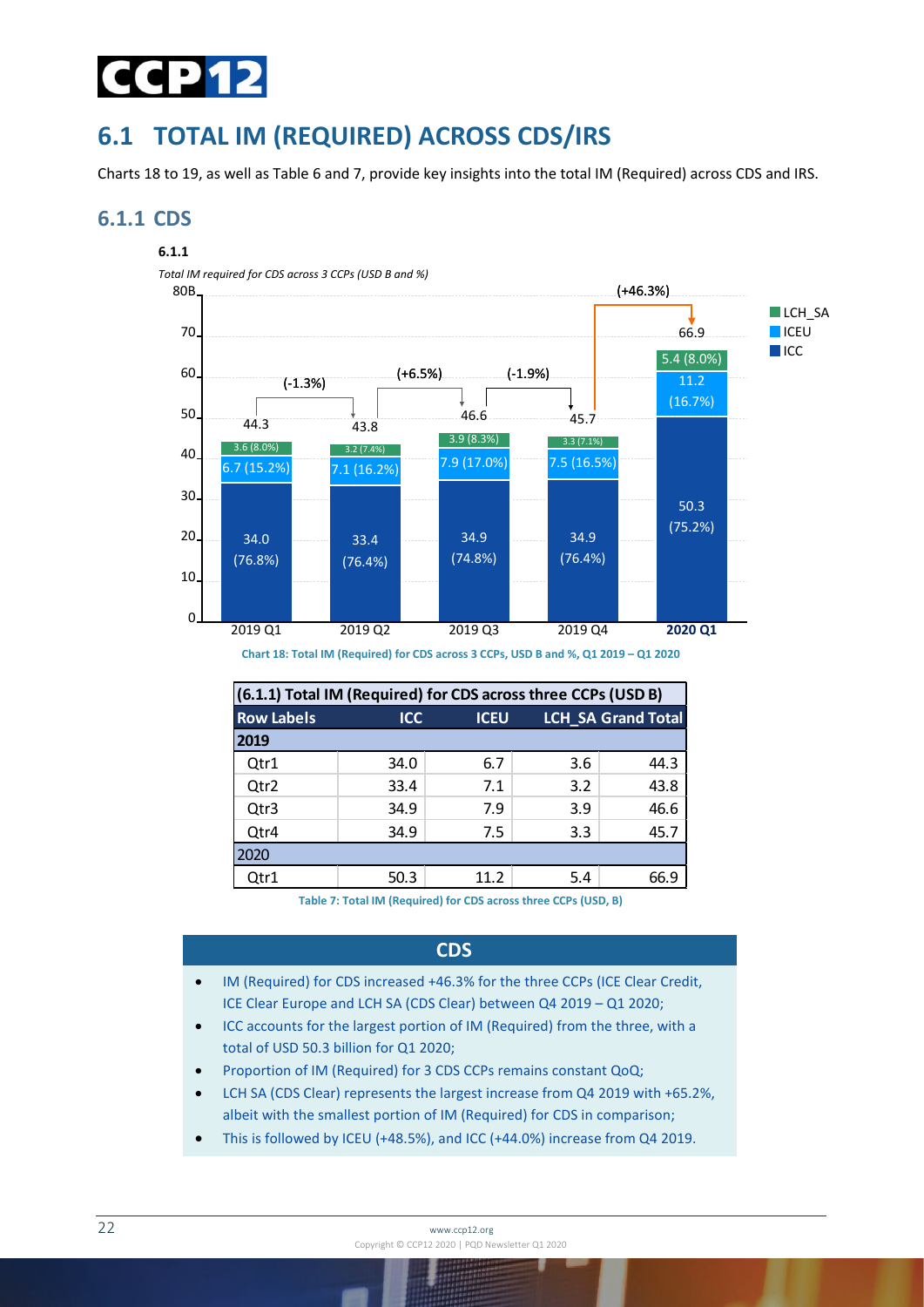

## <span id="page-21-0"></span>**6.1 TOTAL IM (REQUIRED) ACROSS CDS/IRS**

Charts 18 to 19, as well as Table 6 and 7, provide key insights into the total IM (Required) across CDS and IRS.

#### <span id="page-21-1"></span>**6.1.1 CDS**

#### **6.1.1**

*Total IM required for CDS across 3 CCPs (USD B and %)*



**Chart 18: Total IM (Required) for CDS across 3 CCPs, USD B and %, Q1 2019 – Q1 2020**

| (6.1.1) Total IM (Required) for CDS across three CCPs (USD B) |            |             |     |                           |  |  |
|---------------------------------------------------------------|------------|-------------|-----|---------------------------|--|--|
| <b>Row Labels</b>                                             | <b>ICC</b> | <b>ICEU</b> |     | <b>LCH_SA Grand Total</b> |  |  |
| 2019                                                          |            |             |     |                           |  |  |
| Qtr1                                                          | 34.0       | 6.7         | 3.6 | 44.3                      |  |  |
| Qtr2                                                          | 33.4       | 7.1         | 3.2 | 43.8                      |  |  |
| Qtr3                                                          | 34.9       | 7.9         | 3.9 | 46.6                      |  |  |
| Qtr4                                                          | 34.9       | 7.5         | 3.3 | 45.7                      |  |  |
| 2020                                                          |            |             |     |                           |  |  |
| Qtr1                                                          | 50.3       | 11.2        | 5.4 | 66.9                      |  |  |

**Table 7: Total IM (Required) for CDS across three CCPs (USD, B)**

#### **CDS**

- IM (Required) for CDS increased +46.3% for the three CCPs (ICE Clear Credit, ICE Clear Europe and LCH SA (CDS Clear) between Q4 2019 – Q1 2020;
- ICC accounts for the largest portion of IM (Required) from the three, with a total of USD 50.3 billion for Q1 2020;
- Proportion of IM (Required) for 3 CDS CCPs remains constant QoQ;
- LCH SA (CDS Clear) represents the largest increase from Q4 2019 with +65.2%, albeit with the smallest portion of IM (Required) for CDS in comparison;
- This is followed by ICEU (+48.5%), and ICC (+44.0%) increase from Q4 2019.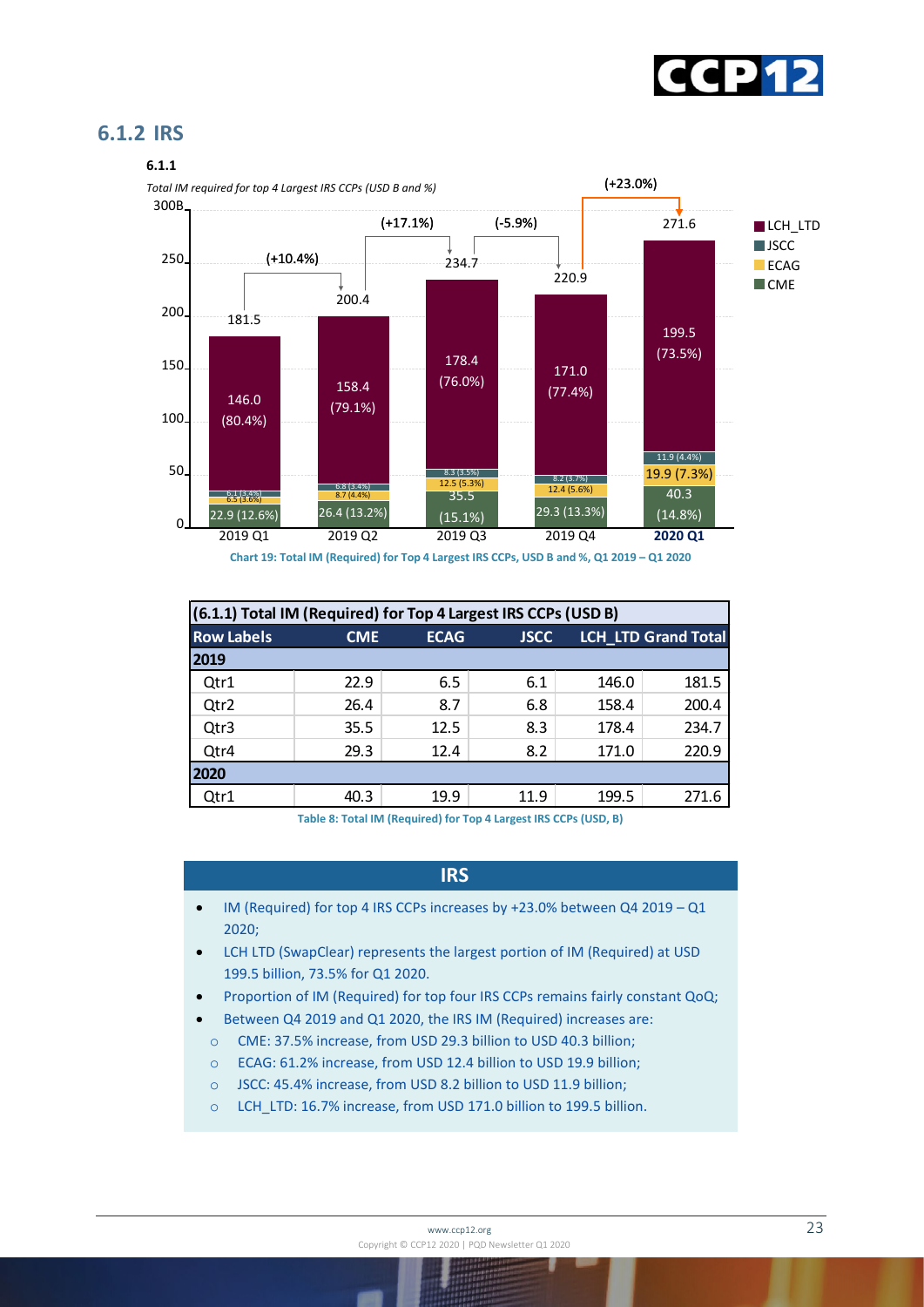

#### <span id="page-22-0"></span>**6.1.2 IRS**



**Chart 19: Total IM (Required) for Top 4 Largest IRS CCPs, USD B and %, Q1 2019 – Q1 2020**

|                   | (6.1.1) Total IM (Required) for Top 4 Largest IRS CCPs (USD B) |             |             |       |                            |  |  |
|-------------------|----------------------------------------------------------------|-------------|-------------|-------|----------------------------|--|--|
| <b>Row Labels</b> | <b>CME</b>                                                     | <b>ECAG</b> | <b>JSCC</b> |       | <b>LCH LTD Grand Total</b> |  |  |
| 2019              |                                                                |             |             |       |                            |  |  |
| Qtr1              | 22.9                                                           | 6.5         | 6.1         | 146.0 | 181.5                      |  |  |
| Qtr2              | 26.4                                                           | 8.7         | 6.8         | 158.4 | 200.4                      |  |  |
| Qtr3              | 35.5                                                           | 12.5        | 8.3         | 178.4 | 234.7                      |  |  |
| Qtr4              | 29.3                                                           | 12.4        | 8.2         | 171.0 | 220.9                      |  |  |
| 2020              |                                                                |             |             |       |                            |  |  |
| Qtr1              | 40.3                                                           | 19.9        | 11.9        | 199.5 | 271.6                      |  |  |

**Table 8: Total IM (Required) for Top 4 Largest IRS CCPs (USD, B)**

#### **IRS**

- IM (Required) for top 4 IRS CCPs increases by +23.0% between Q4 2019 Q1 2020;
- LCH LTD (SwapClear) represents the largest portion of IM (Required) at USD 199.5 billion, 73.5% for Q1 2020.
- Proportion of IM (Required) for top four IRS CCPs remains fairly constant QoQ;
- Between Q4 2019 and Q1 2020, the IRS IM (Required) increases are:
- o CME: 37.5% increase, from USD 29.3 billion to USD 40.3 billion;
- o ECAG: 61.2% increase, from USD 12.4 billion to USD 19.9 billion;
- o JSCC: 45.4% increase, from USD 8.2 billion to USD 11.9 billion;
- o LCH\_LTD: 16.7% increase, from USD 171.0 billion to 199.5 billion.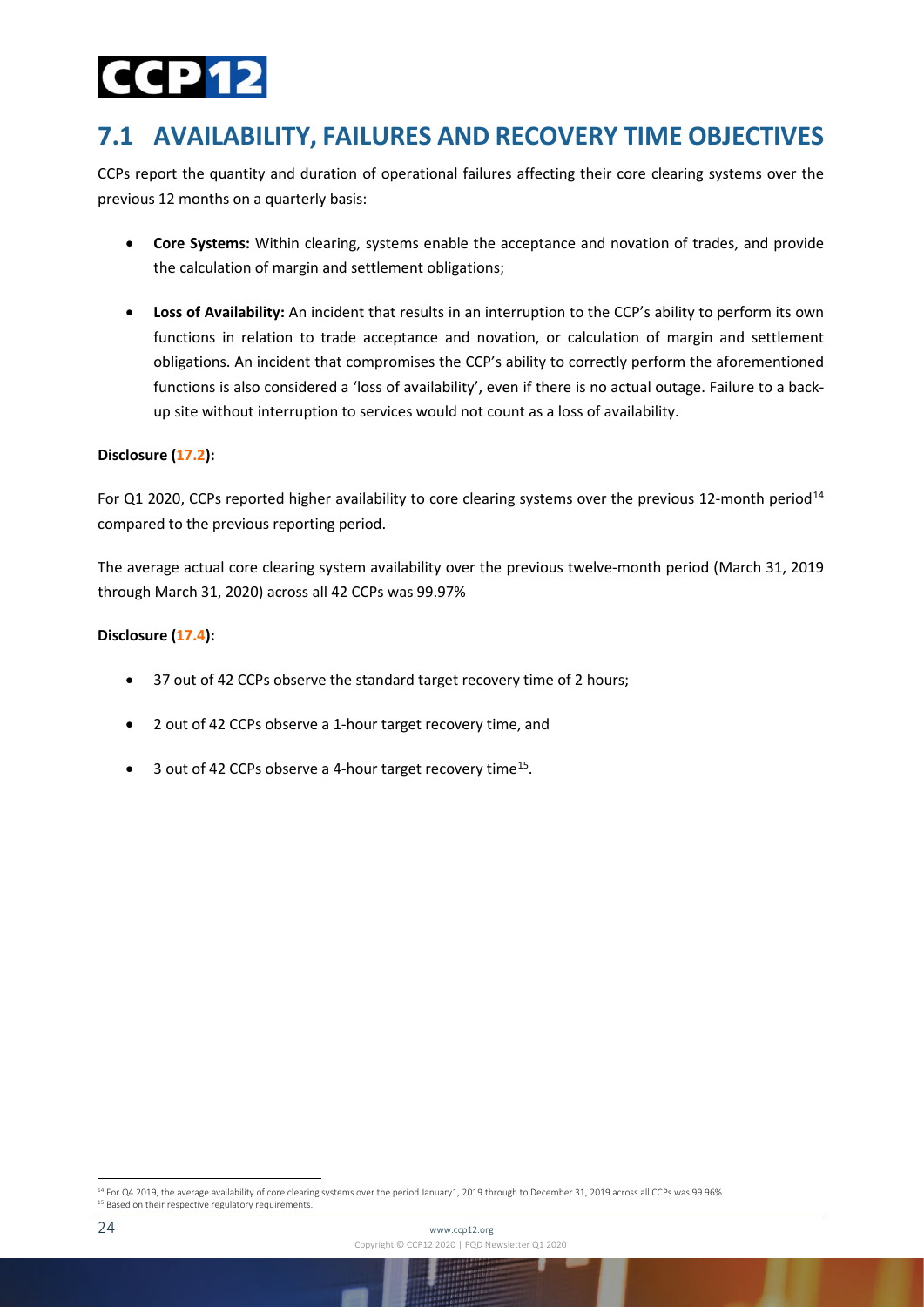## 2D 15

### <span id="page-23-0"></span>**7.1 AVAILABILITY, FAILURES AND RECOVERY TIME OBJECTIVES**

CCPs report the quantity and duration of operational failures affecting their core clearing systems over the previous 12 months on a quarterly basis:

- **Core Systems:** Within clearing, systems enable the acceptance and novation of trades, and provide the calculation of margin and settlement obligations;
- **Loss of Availability:** An incident that results in an interruption to the CCP's ability to perform its own functions in relation to trade acceptance and novation, or calculation of margin and settlement obligations. An incident that compromises the CCP's ability to correctly perform the aforementioned functions is also considered a 'loss of availability', even if there is no actual outage. Failure to a backup site without interruption to services would not count as a loss of availability.

#### **Disclosure (17.2):**

For Q1 2020, CCPs reported higher availability to core clearing systems over the previous 12-month period<sup>[14](#page-23-1)</sup> compared to the previous reporting period.

The average actual core clearing system availability over the previous twelve-month period (March 31, 2019 through March 31, 2020) across all 42 CCPs was 99.97%

#### **Disclosure (17.4):**

- 37 out of 42 CCPs observe the standard target recovery time of 2 hours;
- 2 out of 42 CCPs observe a 1-hour target recovery time, and
- 3 out of 42 CCPs observe a 4-hour target recovery time<sup>15</sup>.

<span id="page-23-2"></span><span id="page-23-1"></span><sup>&</sup>lt;sup>14</sup> For Q4 2019, the average availability of core clearing systems over the period January1, 2019 through to December 31, 2019 across all CCPs was 99.96%. <sup>15</sup> Based on their respective regulatory requirements.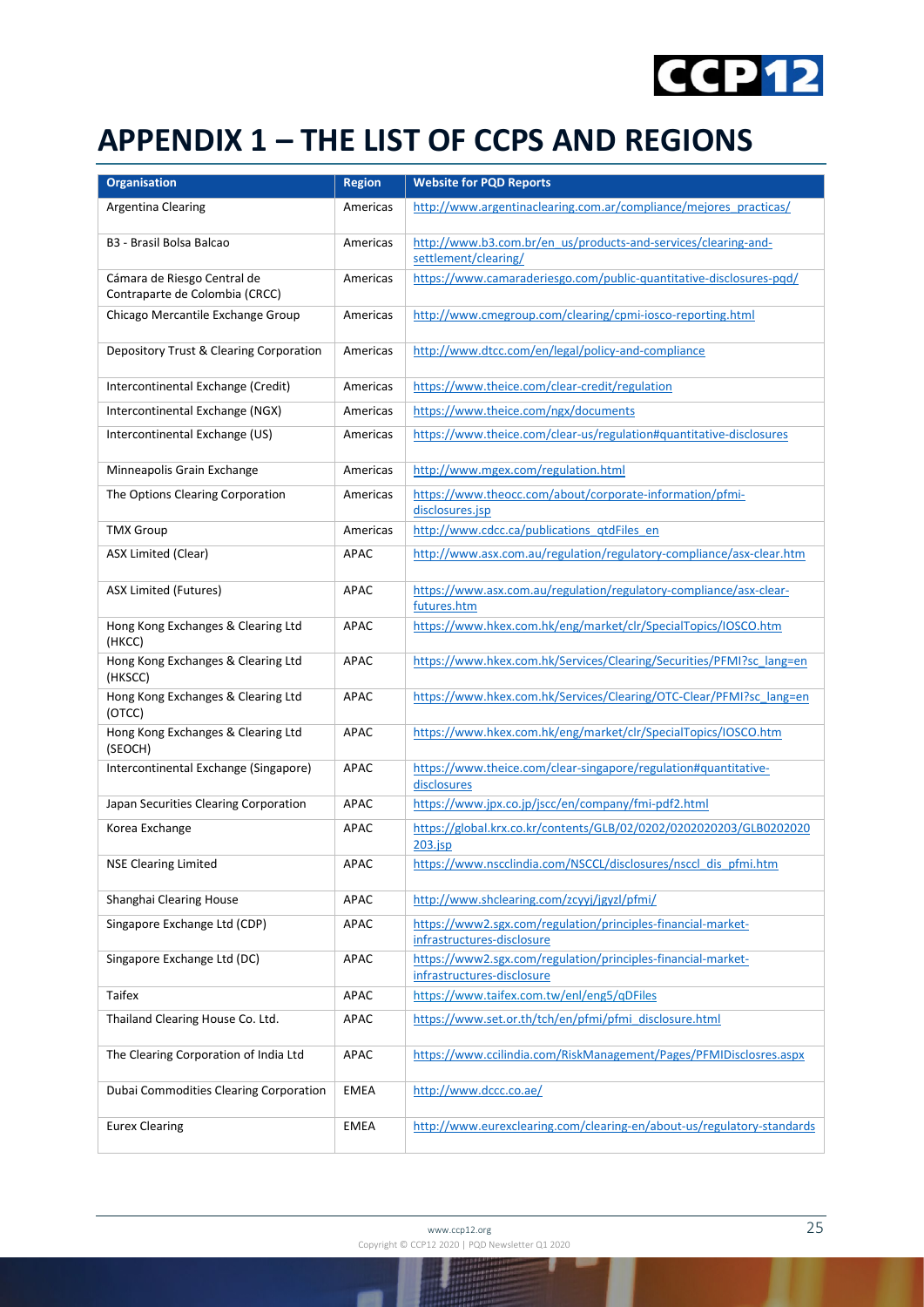

## <span id="page-24-0"></span>**APPENDIX 1 – THE LIST OF CCPS AND REGIONS**

| <b>Organisation</b>                           | <b>Region</b> | <b>Website for PQD Reports</b>                                                             |
|-----------------------------------------------|---------------|--------------------------------------------------------------------------------------------|
| Argentina Clearing                            | Americas      | http://www.argentinaclearing.com.ar/compliance/mejores_practicas/                          |
|                                               |               |                                                                                            |
| B3 - Brasil Bolsa Balcao                      | Americas      | http://www.b3.com.br/en_us/products-and-services/clearing-and-<br>settlement/clearing/     |
| Cámara de Riesgo Central de                   | Americas      | https://www.camaraderiesgo.com/public-quantitative-disclosures-pqd/                        |
| Contraparte de Colombia (CRCC)                |               |                                                                                            |
| Chicago Mercantile Exchange Group             | Americas      | http://www.cmegroup.com/clearing/cpmi-iosco-reporting.html                                 |
| Depository Trust & Clearing Corporation       | Americas      | http://www.dtcc.com/en/legal/policy-and-compliance                                         |
|                                               |               |                                                                                            |
| Intercontinental Exchange (Credit)            | Americas      | https://www.theice.com/clear-credit/regulation                                             |
| Intercontinental Exchange (NGX)               | Americas      | https://www.theice.com/ngx/documents                                                       |
| Intercontinental Exchange (US)                | Americas      | https://www.theice.com/clear-us/regulation#quantitative-disclosures                        |
| Minneapolis Grain Exchange                    | Americas      | http://www.mgex.com/regulation.html                                                        |
| The Options Clearing Corporation              | Americas      | https://www.theocc.com/about/corporate-information/pfmi-                                   |
| <b>TMX Group</b>                              | Americas      | disclosures.jsp<br>http://www.cdcc.ca/publications_qtdFiles_en                             |
| ASX Limited (Clear)                           | APAC          | http://www.asx.com.au/regulation/regulatory-compliance/asx-clear.htm                       |
|                                               |               |                                                                                            |
| ASX Limited (Futures)                         | APAC          | https://www.asx.com.au/regulation/regulatory-compliance/asx-clear-<br>futures.htm          |
| Hong Kong Exchanges & Clearing Ltd<br>(HKCC)  | APAC          | https://www.hkex.com.hk/eng/market/clr/SpecialTopics/IOSCO.htm                             |
| Hong Kong Exchanges & Clearing Ltd<br>(HKSCC) | APAC          | https://www.hkex.com.hk/Services/Clearing/Securities/PFMI?sc lang=en                       |
| Hong Kong Exchanges & Clearing Ltd<br>(OTCC)  | APAC          | https://www.hkex.com.hk/Services/Clearing/OTC-Clear/PFMI?sc lang=en                        |
| Hong Kong Exchanges & Clearing Ltd<br>(SEOCH) | APAC          | https://www.hkex.com.hk/eng/market/clr/SpecialTopics/IOSCO.htm                             |
| Intercontinental Exchange (Singapore)         | APAC          | https://www.theice.com/clear-singapore/regulation#quantitative-<br>disclosures             |
| Japan Securities Clearing Corporation         | APAC          | https://www.jpx.co.jp/jscc/en/company/fmi-pdf2.html                                        |
| Korea Exchange                                | APAC          | https://global.krx.co.kr/contents/GLB/02/0202/0202020203/GLB0202020<br>203.jsp             |
| <b>NSE Clearing Limited</b>                   | APAC          | https://www.nscclindia.com/NSCCL/disclosures/nsccl_dis_pfmi.htm                            |
| Shanghai Clearing House                       | APAC          | http://www.shclearing.com/zcyyj/jgyzl/pfmi/                                                |
| Singapore Exchange Ltd (CDP)                  | APAC          | https://www2.sgx.com/regulation/principles-financial-market-<br>infrastructures-disclosure |
| Singapore Exchange Ltd (DC)                   | APAC          | https://www2.sgx.com/regulation/principles-financial-market-<br>infrastructures-disclosure |
| Taifex                                        | APAC          | https://www.taifex.com.tw/enl/eng5/qDFiles                                                 |
| Thailand Clearing House Co. Ltd.              | APAC          | https://www.set.or.th/tch/en/pfmi/pfmi_disclosure.html                                     |
| The Clearing Corporation of India Ltd         | APAC          | https://www.ccilindia.com/RiskManagement/Pages/PFMIDisclosres.aspx                         |
| Dubai Commodities Clearing Corporation        | EMEA          | http://www.dccc.co.ae/                                                                     |
| <b>Eurex Clearing</b>                         | EMEA          | http://www.eurexclearing.com/clearing-en/about-us/regulatory-standards                     |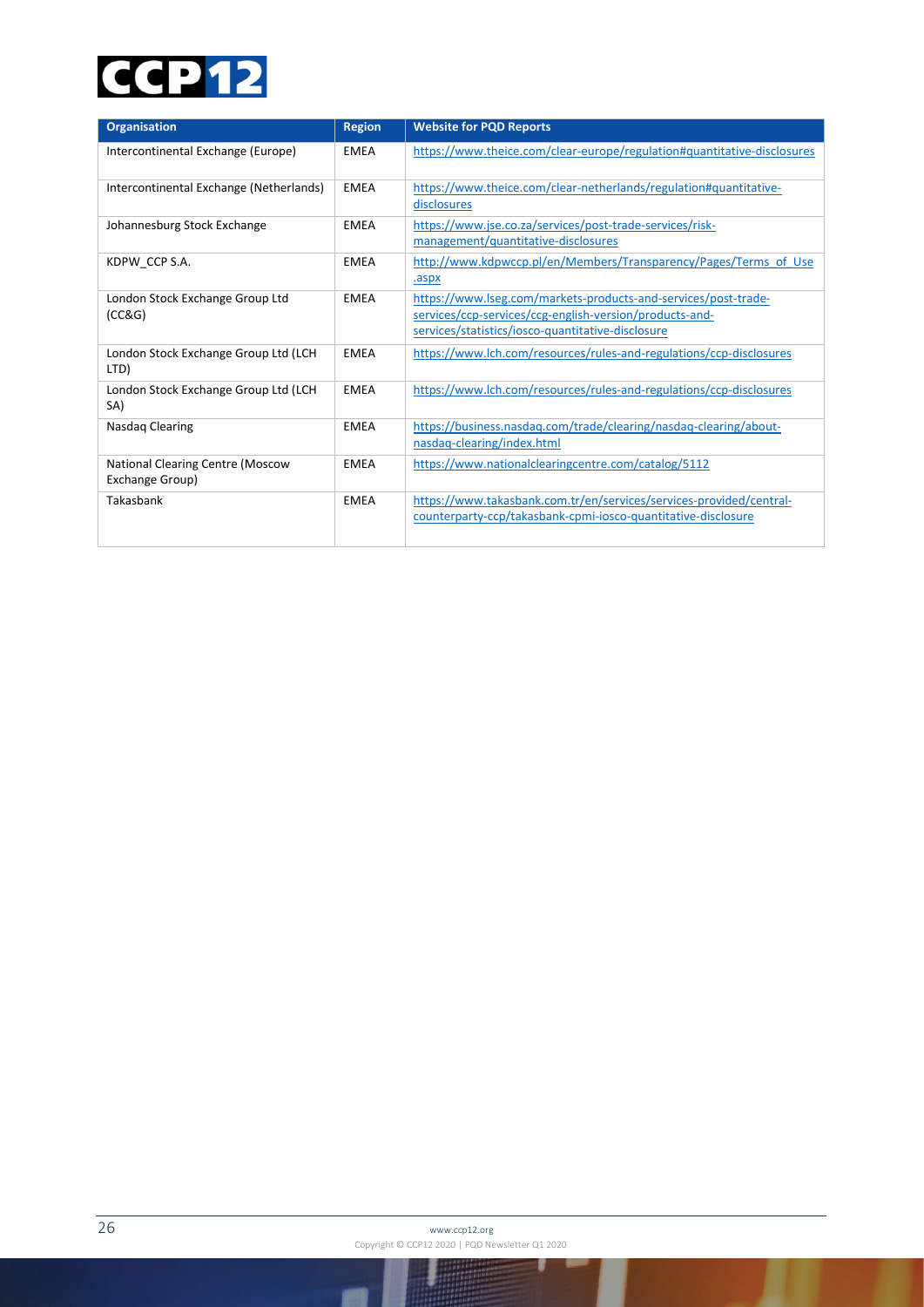## **CCP12**

| <b>Organisation</b>                                 | <b>Region</b> | <b>Website for PQD Reports</b>                                                                                                                                                 |
|-----------------------------------------------------|---------------|--------------------------------------------------------------------------------------------------------------------------------------------------------------------------------|
| Intercontinental Exchange (Europe)                  | <b>EMEA</b>   | https://www.theice.com/clear-europe/regulation#quantitative-disclosures                                                                                                        |
| Intercontinental Exchange (Netherlands)             | <b>EMEA</b>   | https://www.theice.com/clear-netherlands/regulation#quantitative-<br>disclosures                                                                                               |
| Johannesburg Stock Exchange                         | <b>EMEA</b>   | https://www.jse.co.za/services/post-trade-services/risk-<br>management/quantitative-disclosures                                                                                |
| KDPW CCP S.A.                                       | <b>EMEA</b>   | http://www.kdpwccp.pl/en/Members/Transparency/Pages/Terms of Use<br>.aspx                                                                                                      |
| London Stock Exchange Group Ltd<br>(CC&G)           | <b>EMEA</b>   | https://www.lseg.com/markets-products-and-services/post-trade-<br>services/ccp-services/ccg-english-version/products-and-<br>services/statistics/iosco-quantitative-disclosure |
| London Stock Exchange Group Ltd (LCH<br>LTD)        | <b>EMEA</b>   | https://www.lch.com/resources/rules-and-regulations/ccp-disclosures                                                                                                            |
| London Stock Exchange Group Ltd (LCH<br>SA)         | <b>EMEA</b>   | https://www.lch.com/resources/rules-and-regulations/ccp-disclosures                                                                                                            |
| Nasdag Clearing                                     | <b>EMEA</b>   | https://business.nasdaq.com/trade/clearing/nasdaq-clearing/about-<br>nasdaq-clearing/index.html                                                                                |
| National Clearing Centre (Moscow<br>Exchange Group) | <b>EMEA</b>   | https://www.nationalclearingcentre.com/catalog/5112                                                                                                                            |
| Takasbank                                           | <b>EMEA</b>   | https://www.takasbank.com.tr/en/services/services-provided/central-<br>counterparty-ccp/takasbank-cpmi-iosco-quantitative-disclosure                                           |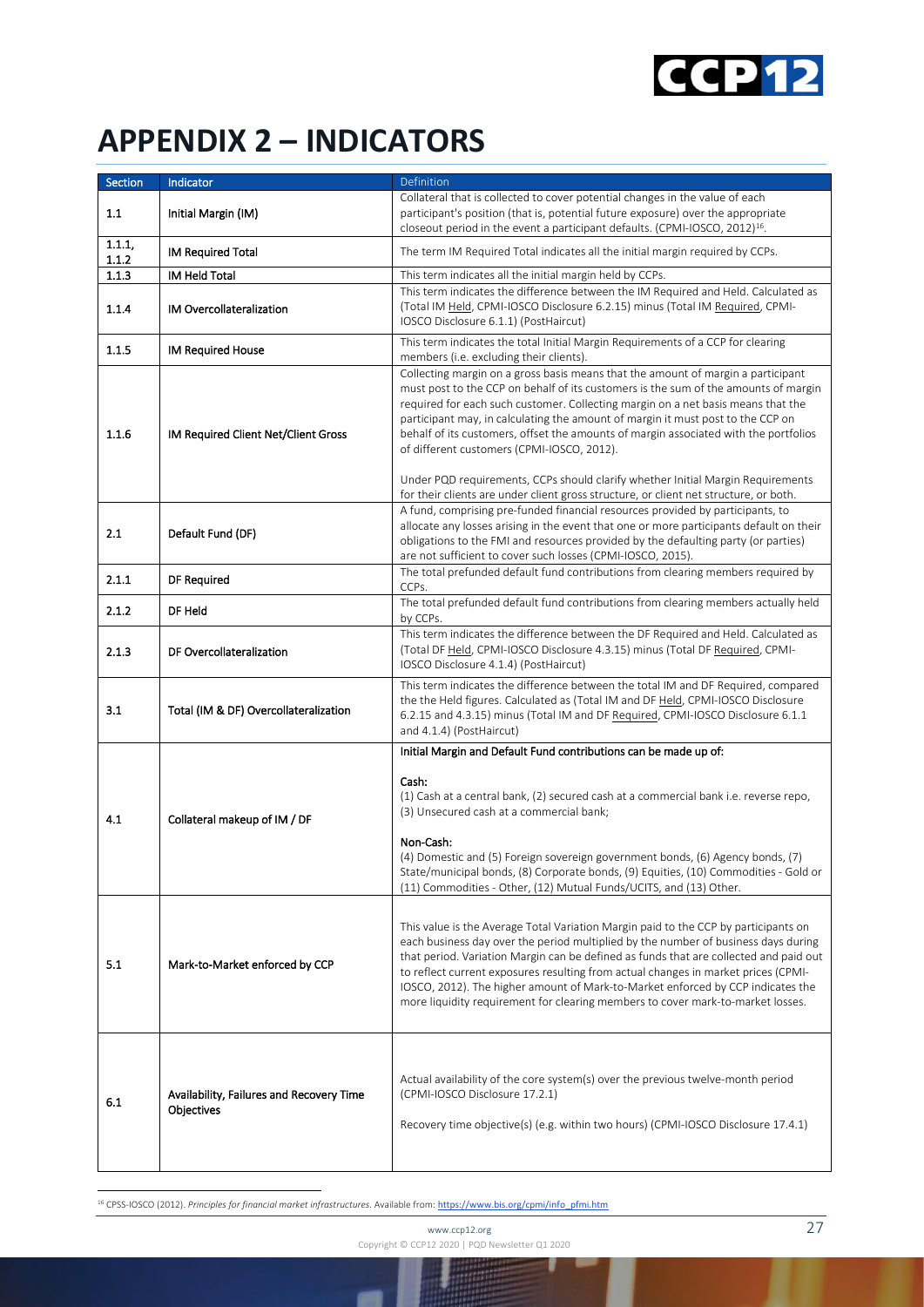

## <span id="page-26-0"></span>**APPENDIX 2 – INDICATORS**

| Section         | Indicator                                              | Definition                                                                                                                                                                                                                                                                                                                                                                                                                                                                                                                                                                                                                                                       |
|-----------------|--------------------------------------------------------|------------------------------------------------------------------------------------------------------------------------------------------------------------------------------------------------------------------------------------------------------------------------------------------------------------------------------------------------------------------------------------------------------------------------------------------------------------------------------------------------------------------------------------------------------------------------------------------------------------------------------------------------------------------|
| 1.1             | Initial Margin (IM)                                    | Collateral that is collected to cover potential changes in the value of each<br>participant's position (that is, potential future exposure) over the appropriate<br>closeout period in the event a participant defaults. (CPMI-IOSCO, 2012) <sup>16</sup> .                                                                                                                                                                                                                                                                                                                                                                                                      |
| 1.1.1,<br>1.1.2 | <b>IM Required Total</b>                               | The term IM Required Total indicates all the initial margin required by CCPs.                                                                                                                                                                                                                                                                                                                                                                                                                                                                                                                                                                                    |
| 1.1.3           | <b>IM Held Total</b>                                   | This term indicates all the initial margin held by CCPs.                                                                                                                                                                                                                                                                                                                                                                                                                                                                                                                                                                                                         |
| 1.1.4           | IM Overcollateralization                               | This term indicates the difference between the IM Required and Held. Calculated as<br>(Total IM Held, CPMI-IOSCO Disclosure 6.2.15) minus (Total IM Required, CPMI-<br>IOSCO Disclosure 6.1.1) (PostHaircut)                                                                                                                                                                                                                                                                                                                                                                                                                                                     |
| 1.1.5           | <b>IM Required House</b>                               | This term indicates the total Initial Margin Requirements of a CCP for clearing<br>members (i.e. excluding their clients).                                                                                                                                                                                                                                                                                                                                                                                                                                                                                                                                       |
| 1.1.6           | IM Required Client Net/Client Gross                    | Collecting margin on a gross basis means that the amount of margin a participant<br>must post to the CCP on behalf of its customers is the sum of the amounts of margin<br>required for each such customer. Collecting margin on a net basis means that the<br>participant may, in calculating the amount of margin it must post to the CCP on<br>behalf of its customers, offset the amounts of margin associated with the portfolios<br>of different customers (CPMI-IOSCO, 2012).<br>Under PQD requirements, CCPs should clarify whether Initial Margin Requirements<br>for their clients are under client gross structure, or client net structure, or both. |
| 2.1             | Default Fund (DF)                                      | A fund, comprising pre-funded financial resources provided by participants, to<br>allocate any losses arising in the event that one or more participants default on their<br>obligations to the FMI and resources provided by the defaulting party (or parties)<br>are not sufficient to cover such losses (CPMI-IOSCO, 2015).                                                                                                                                                                                                                                                                                                                                   |
| 2.1.1           | DF Required                                            | The total prefunded default fund contributions from clearing members required by<br>CCPs.                                                                                                                                                                                                                                                                                                                                                                                                                                                                                                                                                                        |
| 2.1.2           | DF Held                                                | The total prefunded default fund contributions from clearing members actually held<br>by CCPs.                                                                                                                                                                                                                                                                                                                                                                                                                                                                                                                                                                   |
| 2.1.3           | DF Overcollateralization                               | This term indicates the difference between the DF Required and Held. Calculated as<br>(Total DF Held, CPMI-IOSCO Disclosure 4.3.15) minus (Total DF Required, CPMI-<br>IOSCO Disclosure 4.1.4) (PostHaircut)                                                                                                                                                                                                                                                                                                                                                                                                                                                     |
| 3.1             | Total (IM & DF) Overcollateralization                  | This term indicates the difference between the total IM and DF Required, compared<br>the the Held figures. Calculated as (Total IM and DF Held, CPMI-IOSCO Disclosure<br>6.2.15 and 4.3.15) minus (Total IM and DF Required, CPMI-IOSCO Disclosure 6.1.1<br>and 4.1.4) (PostHaircut)                                                                                                                                                                                                                                                                                                                                                                             |
| 4.1             | Collateral makeup of IM / DF                           | Initial Margin and Default Fund contributions can be made up of:<br>Cash:<br>(1) Cash at a central bank, (2) secured cash at a commercial bank i.e. reverse repo,<br>(3) Unsecured cash at a commercial bank;<br>Non-Cash:<br>(4) Domestic and (5) Foreign sovereign government bonds, (6) Agency bonds, (7)<br>State/municipal bonds, (8) Corporate bonds, (9) Equities, (10) Commodities - Gold or<br>(11) Commodities - Other, (12) Mutual Funds/UCITS, and (13) Other.                                                                                                                                                                                       |
| 5.1             | Mark-to-Market enforced by CCP                         | This value is the Average Total Variation Margin paid to the CCP by participants on<br>each business day over the period multiplied by the number of business days during<br>that period. Variation Margin can be defined as funds that are collected and paid out<br>to reflect current exposures resulting from actual changes in market prices (CPMI-<br>IOSCO, 2012). The higher amount of Mark-to-Market enforced by CCP indicates the<br>more liquidity requirement for clearing members to cover mark-to-market losses.                                                                                                                                   |
| 6.1             | Availability, Failures and Recovery Time<br>Objectives | Actual availability of the core system(s) over the previous twelve-month period<br>(CPMI-IOSCO Disclosure 17.2.1)<br>Recovery time objective(s) (e.g. within two hours) (CPMI-IOSCO Disclosure 17.4.1)                                                                                                                                                                                                                                                                                                                                                                                                                                                           |

<span id="page-26-1"></span><sup>16</sup> CPSS-IOSCO (2012). *Principles for financial market infrastructures*. Available from: [https://www.bis.org/cpmi/info\\_pfmi.htm](https://www.bis.org/cpmi/info_pfmi.htm)

www.ccp12.org 27 Copyright © CCP12 2020 | PQD Newsletter Q1 2020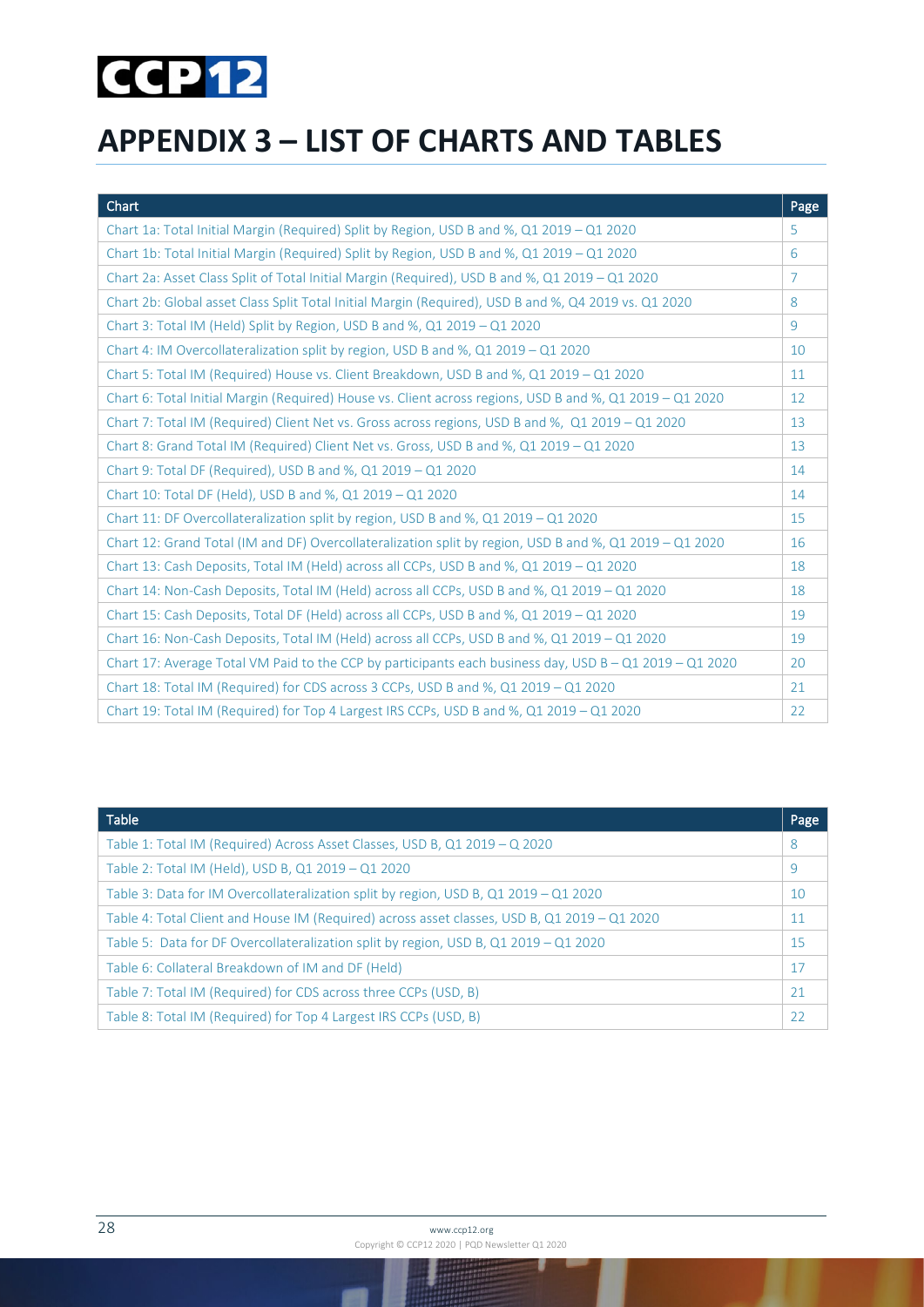## **CCP12**

## <span id="page-27-0"></span>**APPENDIX 3 – LIST OF CHARTS AND TABLES**

| Chart                                                                                                     | Page           |
|-----------------------------------------------------------------------------------------------------------|----------------|
| Chart 1a: Total Initial Margin (Required) Split by Region, USD B and %, Q1 2019 - Q1 2020                 | 5              |
| Chart 1b: Total Initial Margin (Required) Split by Region, USD B and %, Q1 2019 - Q1 2020                 | 6              |
| Chart 2a: Asset Class Split of Total Initial Margin (Required), USD B and %, Q1 2019 - Q1 2020            | $\overline{7}$ |
| Chart 2b: Global asset Class Split Total Initial Margin (Required), USD B and %, Q4 2019 vs. Q1 2020      | 8              |
| Chart 3: Total IM (Held) Split by Region, USD B and %, Q1 2019 - Q1 2020                                  | 9              |
| Chart 4: IM Overcollateralization split by region, USD B and %, Q1 2019 $-$ Q1 2020                       | 10             |
| Chart 5: Total IM (Required) House vs. Client Breakdown, USD B and %, Q1 2019 - Q1 2020                   | 11             |
| Chart 6: Total Initial Margin (Required) House vs. Client across regions, USD B and %, Q1 2019 - Q1 2020  | 12             |
| Chart 7: Total IM (Required) Client Net vs. Gross across regions, USD B and %, Q1 2019 - Q1 2020          | 13             |
| Chart 8: Grand Total IM (Required) Client Net vs. Gross, USD B and %, Q1 2019 - Q1 2020                   | 13             |
| Chart 9: Total DF (Required), USD B and %, Q1 2019 - Q1 2020                                              | 14             |
| Chart 10: Total DF (Held), USD B and %, Q1 2019 - Q1 2020                                                 | 14             |
| Chart 11: DF Overcollateralization split by region, USD B and %, Q1 2019 - Q1 2020                        | 15             |
| Chart 12: Grand Total (IM and DF) Overcollateralization split by region, USD B and %, Q1 2019 - Q1 2020   | 16             |
| Chart 13: Cash Deposits, Total IM (Held) across all CCPs, USD B and %, Q1 2019 - Q1 2020                  | 18             |
| Chart 14: Non-Cash Deposits, Total IM (Held) across all CCPs, USD B and %, Q1 2019 - Q1 2020              | 18             |
| Chart 15: Cash Deposits, Total DF (Held) across all CCPs, USD B and %, Q1 2019 - Q1 2020                  | 19             |
| Chart 16: Non-Cash Deposits, Total IM (Held) across all CCPs, USD B and %, Q1 2019 - Q1 2020              | 19             |
| Chart 17: Average Total VM Paid to the CCP by participants each business day, USD $B - Q1 2019 - Q1 2020$ | 20             |
| Chart 18: Total IM (Required) for CDS across 3 CCPs, USD B and %, Q1 2019 - Q1 2020                       | 21             |
| Chart 19: Total IM (Required) for Top 4 Largest IRS CCPs, USD B and %, Q1 2019 - Q1 2020                  | 22             |

| <b>Table</b>                                                                                 | Page |
|----------------------------------------------------------------------------------------------|------|
| Table 1: Total IM (Required) Across Asset Classes, USD B, Q1 2019 - Q 2020                   | 8    |
| Table 2: Total IM (Held), USD B, Q1 2019 - Q1 2020                                           | 9    |
| Table 3: Data for IM Overcollateralization split by region, USD B, Q1 2019 – Q1 2020         | 10   |
| Table 4: Total Client and House IM (Required) across asset classes, USD B, Q1 2019 – Q1 2020 | 11   |
| Table 5: Data for DF Overcollateralization split by region, USD B, Q1 2019 - Q1 2020         | 15   |
| Table 6: Collateral Breakdown of IM and DF (Held)                                            | 17   |
| Table 7: Total IM (Required) for CDS across three CCPs (USD, B)                              | 21   |
| Table 8: Total IM (Required) for Top 4 Largest IRS CCPs (USD, B)                             | 22   |